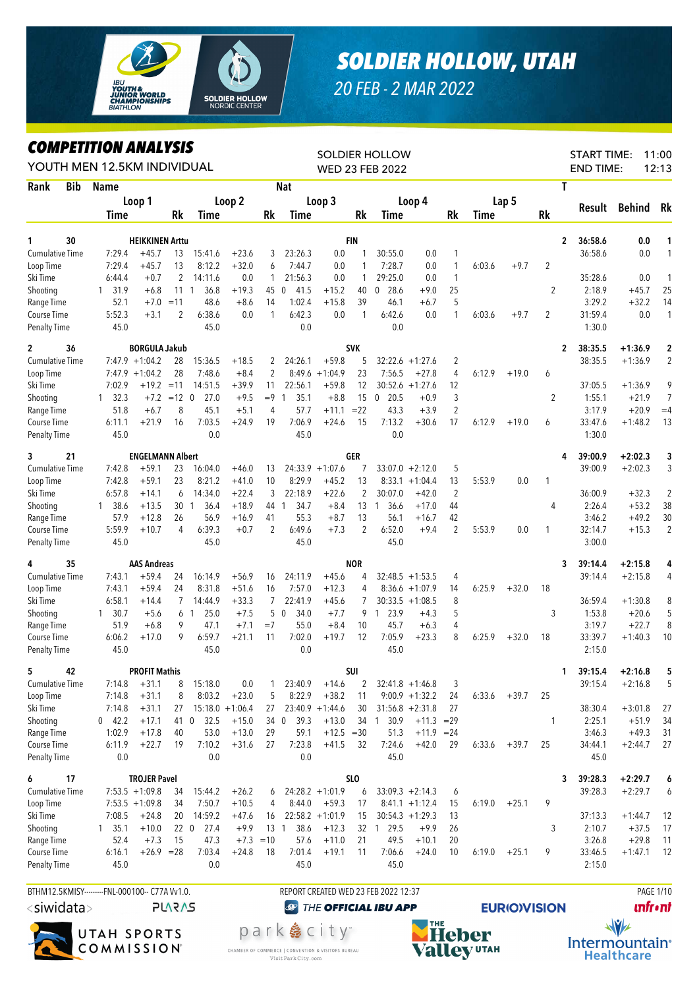

## *SOLDIER HOLLOW, UTAH*

*20 FEB - 2 MAR 2022*

## *COMPETITION ANALYSIS*

|                             |            | YOUTH MEN 12.5KM INDIVIDUAL                  |                               |                      |                   |                       |                |                      |                    |                 | <b>SOLDIER HOLLOW</b><br>WED 23 FEB 2022 |                    |                              |        |         |                |   | <b>START TIME:</b><br><b>END TIME:</b> |                        | 11:00<br>12:13 |
|-----------------------------|------------|----------------------------------------------|-------------------------------|----------------------|-------------------|-----------------------|----------------|----------------------|--------------------|-----------------|------------------------------------------|--------------------|------------------------------|--------|---------|----------------|---|----------------------------------------|------------------------|----------------|
| Rank                        | <b>Bib</b> | <b>Name</b>                                  |                               |                      |                   |                       |                | <b>Nat</b>           |                    |                 |                                          |                    |                              |        |         |                | Т |                                        |                        |                |
|                             |            |                                              | Loop 1                        |                      |                   | Loop 2                |                |                      | Loop 3             |                 |                                          | Loop 4             |                              |        | Lap 5   |                |   |                                        |                        |                |
|                             |            | <b>Time</b>                                  |                               | Rk                   | Time              |                       | Rk             | Time                 |                    | Rk              | <b>Time</b>                              |                    | Rk                           | Time   |         | Rk             |   | Result                                 | <b>Behind</b>          | Rk             |
|                             |            |                                              |                               |                      |                   |                       |                |                      |                    |                 |                                          |                    |                              |        |         |                |   |                                        |                        |                |
| 1                           | 30         |                                              | <b>HEIKKINEN Arttu</b>        |                      |                   |                       |                |                      |                    | <b>FIN</b>      |                                          |                    |                              |        |         |                | 2 | 36:58.6                                | 0.0                    | 1              |
| <b>Cumulative Time</b>      |            | 7:29.4                                       | $+45.7$                       | 13                   | 15:41.6           | $+23.6$               | 3              | 23:26.3              | 0.0                | 1               | 30:55.0                                  | 0.0                | $\mathbf{1}$                 |        |         |                |   | 36:58.6                                | 0.0                    | 1              |
| Loop Time<br>Ski Time       |            | 7:29.4<br>6:44.4                             | $+45.7$<br>$+0.7$             | 13<br>$\overline{2}$ | 8:12.2<br>14:11.6 | $+32.0$<br>0.0        | 6<br>1         | 7:44.7<br>21:56.3    | 0.0<br>0.0         | 1<br>1          | 7:28.7<br>29:25.0                        | 0.0<br>0.0         | $\mathbf{1}$<br>$\mathbf{1}$ | 6:03.6 | $+9.7$  | $\overline{2}$ |   | 35:28.6                                | 0.0                    | 1              |
| Shooting                    |            | 31.9<br>$\mathbf{1}$                         | $+6.8$                        | 111                  | 36.8              | $+19.3$               | 45             | 41.5<br>$\mathbf 0$  | $+15.2$            | 40              | $\boldsymbol{0}$<br>28.6                 | $+9.0$             | 25                           |        |         | 2              |   | 2:18.9                                 | $+45.7$                | 25             |
| Range Time                  |            | 52.1                                         |                               | $+7.0 = 11$          | 48.6              | $+8.6$                | 14             | 1:02.4               | $+15.8$            | 39              | 46.1                                     | $+6.7$             | 5                            |        |         |                |   | 3:29.2                                 | $+32.2$                | 14             |
| Course Time                 |            | 5:52.3                                       | $+3.1$                        | 2                    | 6:38.6            | 0.0                   | 1              | 6:42.3               | 0.0                | $\mathbf{1}$    | 6:42.6                                   | 0.0                | $\mathbf{1}$                 | 6:03.6 | $+9.7$  | $\overline{2}$ |   | 31:59.4                                | 0.0                    | $\mathbf{1}$   |
| <b>Penalty Time</b>         |            | 45.0                                         |                               |                      | 45.0              |                       |                | 0.0                  |                    |                 | 0.0                                      |                    |                              |        |         |                |   | 1:30.0                                 |                        |                |
| 2                           | 36         |                                              | <b>BORGULA Jakub</b>          |                      |                   |                       |                |                      |                    | <b>SVK</b>      |                                          |                    |                              |        |         |                | 2 | 38:35.5                                | $+1:36.9$              | $\mathbf 2$    |
| <b>Cumulative Time</b>      |            |                                              | $7:47.9 + 1:04.2$             | 28                   | 15:36.5           | $+18.5$               | 2              | 24:26.1              | $+59.8$            | 5               |                                          | $32:22.6 + 1:27.6$ | 2                            |        |         |                |   | 38:35.5                                | $+1:36.9$              | $\overline{2}$ |
| Loop Time                   |            |                                              | $7:47.9 + 1:04.2$             | 28                   | 7:48.6            | $+8.4$                | $\overline{2}$ | 8:49.6               | $+1:04.9$          | 23              | 7:56.5                                   | $+27.8$            | $\overline{4}$               | 6:12.9 | $+19.0$ | 6              |   |                                        |                        |                |
| Ski Time                    |            | 7:02.9                                       | $+19.2 = 11$                  |                      | 14:51.5           | $+39.9$               | 11             | 22:56.1              | $+59.8$            | 12              |                                          | $30:52.6 + 1:27.6$ | 12                           |        |         |                |   | 37:05.5                                | $+1:36.9$              | 9              |
| Shooting                    |            | 32.3<br>$\mathbf{1}$                         |                               | $+7.2 = 12 \quad 0$  | 27.0              | $+9.5$                | $=9$           | 35.1<br>$\mathbf{1}$ | $+8.8$             | 15              | $\overline{0}$<br>20.5                   | $+0.9$             | $\mathfrak{Z}$               |        |         | 2              |   | 1:55.1                                 | $+21.9$                | $\overline{7}$ |
| Range Time                  |            | 51.8                                         | $+6.7$                        | 8                    | 45.1              | $+5.1$                | 4              | 57.7                 | $+11.1$            | $= 22$          | 43.3                                     | $+3.9$             | $\overline{2}$               |        |         |                |   | 3:17.9                                 | $+20.9$                | $=4$           |
| Course Time                 |            | 6:11.1                                       | $+21.9$                       | 16                   | 7:03.5            | $+24.9$               | 19             | 7:06.9               | $+24.6$            | 15              | 7:13.2                                   | $+30.6$            | 17                           | 6:12.9 | $+19.0$ | 6              |   | 33:47.6                                | $+1:48.2$              | 13             |
| Penalty Time                |            | 45.0                                         |                               |                      | 0.0               |                       |                | 45.0                 |                    |                 | 0.0                                      |                    |                              |        |         |                |   | 1:30.0                                 |                        |                |
| 3                           | 21         |                                              | <b>ENGELMANN Albert</b>       |                      |                   |                       |                |                      |                    | GER             |                                          |                    |                              |        |         |                | 4 | 39:00.9                                | $+2:02.3$              | 3              |
| <b>Cumulative Time</b>      |            | 7:42.8                                       | $+59.1$                       | 23                   | 16:04.0           | $+46.0$               | 13             |                      | $24:33.9 +1:07.6$  | 7               |                                          | $33:07.0 + 2:12.0$ | 5                            |        |         |                |   | 39:00.9                                | $+2:02.3$              | 3              |
| Loop Time                   |            | 7:42.8                                       | $+59.1$                       | 23                   | 8:21.2            | $+41.0$               | 10             | 8:29.9               | $+45.2$            | 13              | 8:33.1                                   | $+1:04.4$          | 13                           | 5:53.9 | 0.0     | 1              |   |                                        |                        |                |
| Ski Time                    |            | 6:57.8                                       | $+14.1$                       | 6                    | 14:34.0           | $+22.4$               | 3              | 22:18.9              | $+22.6$            | 2               | 30:07.0                                  | $+42.0$            | $\overline{2}$               |        |         |                |   | 36:00.9                                | $+32.3$                | 2              |
| Shooting<br>Range Time      |            | 38.6<br>$\mathbf{1}$<br>57.9                 | $+13.5$<br>$+12.8$            | $30 \quad 1$<br>26   | 36.4<br>56.9      | $+18.9$<br>$+16.9$    | 44 1<br>41     | 34.7<br>55.3         | $+8.4$<br>$+8.7$   | 13<br>13        | 1, 36.6<br>56.1                          | $+17.0$<br>$+16.7$ | 44<br>42                     |        |         | 4              |   | 2:26.4<br>3:46.2                       | $+53.2$<br>$+49.2$     | 38<br>30       |
| Course Time                 |            | 5:59.9                                       | $+10.7$                       | 4                    | 6:39.3            | $+0.7$                | $\overline{2}$ | 6:49.6               | $+7.3$             | $\overline{2}$  | 6:52.0                                   | $+9.4$             | $\overline{2}$               | 5:53.9 | 0.0     | 1              |   | 32:14.7                                | $+15.3$                | $\overline{2}$ |
| <b>Penalty Time</b>         |            | 45.0                                         |                               |                      | 45.0              |                       |                | 45.0                 |                    |                 | 45.0                                     |                    |                              |        |         |                |   | 3:00.0                                 |                        |                |
|                             |            |                                              |                               |                      |                   |                       |                |                      |                    |                 |                                          |                    |                              |        |         |                |   |                                        |                        |                |
| 4<br><b>Cumulative Time</b> | 35         | 7:43.1                                       | <b>AAS Andreas</b><br>$+59.4$ | 24                   | 16:14.9           | $+56.9$               | 16             | 24:11.9              | $+45.6$            | <b>NOR</b><br>4 |                                          | $32:48.5 +1:53.5$  |                              |        |         |                | 3 | 39:14.4<br>39:14.4                     | $+2:15.8$<br>$+2:15.8$ | 4<br>4         |
| Loop Time                   |            | 7:43.1                                       | $+59.4$                       | 24                   | 8:31.8            | $+51.6$               | 16             | 7:57.0               | $+12.3$            | 4               | 8:36.6                                   | $+1:07.9$          | 4<br>14                      | 6:25.9 | $+32.0$ | 18             |   |                                        |                        |                |
| Ski Time                    |            | 6:58.1                                       | $+14.4$                       | $\overline{7}$       | 14:44.9           | $+33.3$               | 7              | 22:41.9              | $+45.6$            | 7               |                                          | $30:33.5 +1:08.5$  | 8                            |        |         |                |   | 36:59.4                                | $+1:30.8$              | 8              |
| Shooting                    |            | 30.7<br>$\mathbf{1}$                         | $+5.6$                        |                      | 25.0<br>61        | $+7.5$                | 5              | $\mathbf{0}$<br>34.0 | $+7.7$             | 9               | 123.9                                    | $+4.3$             | 5                            |        |         | 3              |   | 1:53.8                                 | $+20.6$                | 5              |
| Range Time                  |            | 51.9                                         | $+6.8$                        | 9                    | 47.1              | $+7.1$                | $=7$           | 55.0                 | $+8.4$             | 10              | 45.7                                     | $+6.3$             | 4                            |        |         |                |   | 3:19.7                                 | $+22.7$                | 8              |
| Course Time                 |            | 6:06.2                                       | $+17.0$                       | 9                    | 6:59.7            | $+21.1$               | 11             | 7:02.0               | $+19.7$            | 12              | 7:05.9                                   | $+23.3$            | 8                            | 6:25.9 | $+32.0$ | 18             |   | 33:39.7                                | $+1:40.3$              | 10             |
| <b>Penalty Time</b>         |            | 45.0                                         |                               |                      | 45.0              |                       |                | 0.0                  |                    |                 | 45.0                                     |                    |                              |        |         |                |   | 2:15.0                                 |                        |                |
| 5                           | 42         |                                              | <b>PROFIT Mathis</b>          |                      |                   |                       |                |                      |                    | SUI             |                                          |                    |                              |        |         |                | 1 | 39:15.4                                | $+2:16.8$              | 5              |
| Cumulative Time             |            | 7:14.8                                       | $+31.1$                       | 8                    | 15:18.0           | 0.0                   | 1              | 23:40.9              | $+14.6$            | 2               |                                          | $32:41.8 +1:46.8$  | 3                            |        |         |                |   | 39:15.4                                | $+2:16.8$              | 5              |
| Loop Time                   |            | 7:14.8                                       | $+31.1$                       | 8                    | 8:03.2            | $+23.0$               | 5              | 8:22.9               | $+38.2$            | 11              |                                          | $9:00.9 +1:32.2$   | 24                           | 6:33.6 | $+39.7$ | 25             |   |                                        |                        |                |
| Ski Time                    |            | 7:14.8                                       | $+31.1$                       | 27                   |                   | $15:18.0 + 1:06.4$    | 27             |                      | $23:40.9 +1:44.6$  | 30              |                                          | $31:56.8 + 2:31.8$ | 27                           |        |         |                |   | 38:30.4                                | $+3:01.8$              | 27             |
| Shooting                    |            | $0$ 42.2                                     | $+17.1$                       | 41 0                 | 32.5              | $+15.0$               | 34 0           | 39.3                 | $+13.0$            |                 | 34 1 30.9                                | $+11.3 = 29$       |                              |        |         | 1              |   | 2:25.1                                 | $+51.9$                | 34             |
| Range Time                  |            | 1:02.9                                       | $+17.8$                       | 40                   | 53.0              | $+13.0$               | 29             | 59.1                 | $+12.5 = 30$       |                 | 51.3                                     | $+11.9 = 24$       |                              |        |         |                |   | 3:46.3                                 | $+49.3$                | 31             |
| Course Time                 |            | 6:11.9                                       | $+22.7$                       | 19                   | 7:10.2            | $+31.6$               | 27             | 7:23.8               | $+41.5$            | 32              | 7:24.6                                   | $+42.0$            | 29                           | 6:33.6 | $+39.7$ | 25             |   | 34:44.1                                | $+2:44.7$              | 27             |
| <b>Penalty Time</b>         |            | 0.0                                          |                               |                      | 0.0               |                       |                | 0.0                  |                    |                 | 45.0                                     |                    |                              |        |         |                |   | 45.0                                   |                        |                |
| 6                           | 17         |                                              | <b>TROJER Pavel</b>           |                      |                   |                       |                |                      |                    | SLO             |                                          |                    |                              |        |         |                | 3 | 39:28.3                                | $+2:29.7$              | 6              |
| <b>Cumulative Time</b>      |            |                                              | $7:53.5 +1:09.8$              | 34                   | 15:44.2           | $+26.2$               | 6              |                      | $24:28.2 +1:01.9$  | 6               |                                          | $33:09.3 +2:14.3$  | 6                            |        |         |                |   | 39:28.3                                | $+2:29.7$              | 6              |
| Loop Time                   |            |                                              | $7:53.5 +1:09.8$              | 34                   | 7:50.7            | $+10.5$               | 4              | 8:44.0               | $+59.3$            | 17              |                                          | $8:41.1 +1:12.4$   | 15                           | 6:19.0 | $+25.1$ | 9              |   |                                        |                        |                |
| Ski Time                    |            | 7:08.5                                       | $+24.8$                       | 20                   | 14:59.2           | $+47.6$               | 16             |                      | $22:58.2 + 1:01.9$ | 15              |                                          | $30:54.3 +1:29.3$  | 13                           |        |         |                |   | 37:13.3                                | $+1:44.7$              | 12             |
| Shooting<br>Range Time      |            | $1 \quad 35.1$<br>52.4                       | $+10.0$<br>$+7.3$             | 15                   | 22 0 27.4<br>47.3 | $+9.9$<br>$+7.3 = 10$ | $13-1$         | 38.6<br>57.6         | $+12.3$<br>$+11.0$ | 21              | 32 1 29.5<br>49.5                        | $+9.9$<br>$+10.1$  | 26<br>20                     |        |         | 3              |   | 2:10.7<br>3:26.8                       | $+37.5$<br>$+29.8$     | 17<br>11       |
| Course Time                 |            | 6:16.1                                       | $+26.9 = 28$                  |                      | 7:03.4            | $+24.8$               | 18             | 7:01.4               | $+19.1$            | 11              | 7:06.6                                   | $+24.0$            | 10                           | 6:19.0 | $+25.1$ | 9              |   | 33:46.5                                | $+1:47.1$              | 12             |
| <b>Penalty Time</b>         |            | 45.0                                         |                               |                      | 0.0               |                       |                | 45.0                 |                    |                 | 45.0                                     |                    |                              |        |         |                |   | 2:15.0                                 |                        |                |
|                             |            |                                              |                               |                      |                   |                       |                |                      |                    |                 |                                          |                    |                              |        |         |                |   |                                        |                        |                |
|                             |            | BTHM12.5KMISY--------FNL-000100-- C77AVv1.0. |                               |                      |                   |                       |                |                      |                    |                 | REPORT CREATED WED 23 FEB 2022 12:37     |                    |                              |        |         |                |   |                                        |                        | PAGE 1/10      |

<siwidata>

**PLARAS** 







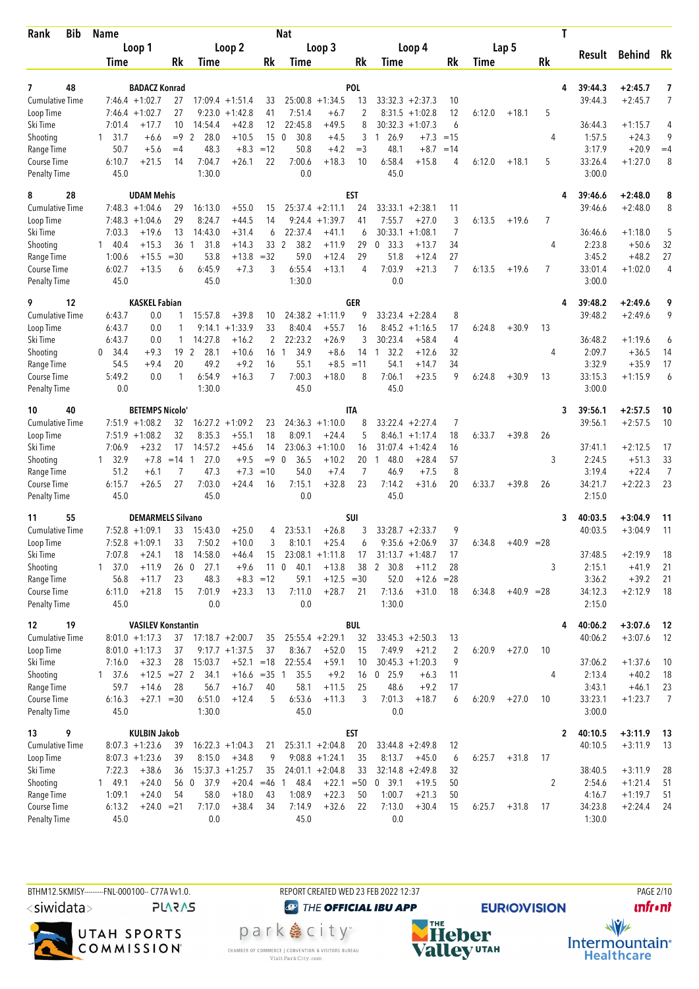| <b>Bib</b><br>Rank                 | <b>Name</b>       |                                          |                 |                      |                                 |                 | <b>Nat</b>             |                              |             |                                              |           |                |        |              |           | T |                    |                        |           |
|------------------------------------|-------------------|------------------------------------------|-----------------|----------------------|---------------------------------|-----------------|------------------------|------------------------------|-------------|----------------------------------------------|-----------|----------------|--------|--------------|-----------|---|--------------------|------------------------|-----------|
|                                    |                   | Loop 1                                   |                 |                      | Loop 2                          |                 |                        | Loop 3                       |             | Loop 4                                       |           |                |        | Lap 5        |           |   | Result             | Behind                 | Rk        |
|                                    | Time              |                                          | Rk              | Time                 |                                 | Rk              | Time                   |                              | Rk          | Time                                         |           | <b>Rk</b>      | Time   |              | <b>Rk</b> |   |                    |                        |           |
|                                    |                   |                                          |                 |                      |                                 |                 |                        |                              |             |                                              |           |                |        |              |           |   |                    |                        |           |
| 48<br>7<br><b>Cumulative Time</b>  |                   | <b>BADACZ Konrad</b><br>$7:46.4 +1:02.7$ |                 |                      |                                 |                 |                        | $25:00.8 + 1:34.5$           | <b>POL</b>  | $33:32.3 + 2:37.3$                           |           |                |        |              |           | 4 | 39:44.3<br>39:44.3 | $+2:45.7$<br>$+2:45.7$ | 7<br>7    |
| Loop Time                          |                   | $7:46.4 +1:02.7$                         | 27<br>27        | 9:23.0               | $17:09.4 + 1:51.4$<br>$+1:42.8$ | 33<br>41        | 7:51.4                 | $+6.7$                       | 13<br>2     | 8:31.5                                       | $+1:02.8$ | 10<br>12       | 6:12.0 | $+18.1$      | 5         |   |                    |                        |           |
| Ski Time                           | 7:01.4            | $+17.7$                                  | 10              | 14:54.4              | $+42.8$                         | 12              | 22:45.8                | $+49.5$                      | 8           | 30:32.3                                      | $+1:07.3$ | 6              |        |              |           |   | 36:44.3            | $+1:15.7$              | 4         |
| Shooting                           | 31.7<br>1         | $+6.6$                                   | $=9$            | 28.0<br>2            | $+10.5$                         | 15              | 30.8<br>$\mathbf{0}$   | $+4.5$                       | 3           | 1 26.9                                       | $+7.3$    | $=15$          |        |              | 4         |   | 1:57.5             | $+24.3$                | 9         |
| Range Time                         | 50.7              | $+5.6$                                   | $=4$            | 48.3                 | $+8.3$                          | $=12$           | 50.8                   | $+4.2$                       | $=$ 3       | 48.1                                         | $+8.7$    | $=14$          |        |              |           |   | 3:17.9             | $+20.9$                | $=4$      |
| Course Time                        | 6:10.7            | $+21.5$                                  | 14              | 7:04.7               | $+26.1$                         | 22              | 7:00.6                 | $+18.3$                      | 10          | 6:58.4                                       | $+15.8$   | 4              | 6:12.0 | $+18.1$      | 5         |   | 33:26.4            | $+1:27.0$              | 8         |
| <b>Penalty Time</b>                | 45.0              |                                          |                 | 1:30.0               |                                 |                 | 0.0                    |                              |             | 45.0                                         |           |                |        |              |           |   | 3:00.0             |                        |           |
| 8<br>28                            |                   | <b>UDAM Mehis</b>                        |                 |                      |                                 |                 |                        |                              | <b>EST</b>  |                                              |           |                |        |              |           | 4 | 39:46.6            | $+2:48.0$              | 8         |
| <b>Cumulative Time</b>             |                   | $7:48.3 +1:04.6$                         | 29              | 16:13.0              | $+55.0$                         | 15              |                        | $25:37.4 +2:11.1$            | 24          | $33:33.1 + 2:38.1$                           |           | 11             |        |              |           |   | 39:46.6            | $+2:48.0$              | 8         |
| Loop Time                          |                   | $7:48.3 +1:04.6$                         | 29              | 8:24.7               | $+44.5$                         | 14              |                        | $9:24.4 +1:39.7$             | 41          | 7:55.7                                       | $+27.0$   | 3              | 6:13.5 | $+19.6$      | 7         |   |                    |                        |           |
| Ski Time                           | 7:03.3            | $+19.6$                                  | 13              | 14:43.0              | $+31.4$                         | 6               | 22:37.4                | $+41.1$                      | 6           | 30:33.1                                      | $+1:08.1$ | $\overline{7}$ |        |              |           |   | 36:46.6            | $+1:18.0$              | 5         |
| Shooting                           | 140.4             | $+15.3$                                  | 36              | 31.8<br>-1           | $+14.3$                         | 33 <sup>2</sup> | 38.2                   | $+11.9$                      | 29          | 33.3<br>$\boldsymbol{0}$                     | $+13.7$   | 34             |        |              | 4         |   | 2:23.8             | $+50.6$                | 32        |
| Range Time                         | 1:00.6            | $+15.5$                                  | $=30$           | 53.8                 | $+13.8$                         | $=32$           | 59.0                   | $+12.4$                      | 29          | 51.8                                         | $+12.4$   | 27             |        |              |           |   | 3:45.2             | $+48.2$                | 27        |
| Course Time                        | 6:02.7            | $+13.5$                                  | 6               | 6:45.9               | $+7.3$                          | 3               | 6:55.4                 | $+13.1$                      | 4           | 7:03.9                                       | $+21.3$   | 7              | 6:13.5 | $+19.6$      | 7         |   | 33:01.4            | $+1:02.0$              | 4         |
| <b>Penalty Time</b>                | 45.0              |                                          |                 | 45.0                 |                                 |                 | 1:30.0                 |                              |             | 0.0                                          |           |                |        |              |           |   | 3:00.0             |                        |           |
| 9<br>12                            |                   | <b>KASKEL Fabian</b>                     |                 |                      |                                 |                 |                        |                              | GER         |                                              |           |                |        |              |           | 4 | 39:48.2            | $+2:49.6$              | 9         |
| <b>Cumulative Time</b>             | 6:43.7            | 0.0                                      | 1               | 15:57.8              | $+39.8$                         | 10              |                        | $24:38.2 +1:11.9$            | 9           | $33:23.4 +2:28.4$                            |           | 8              |        |              |           |   | 39:48.2            | $+2:49.6$              | 9         |
| Loop Time                          | 6:43.7            | 0.0                                      | 1               | 9:14.1               | $+1:33.9$                       | 33              | 8:40.4                 | $+55.7$                      | 16          | $8:45.2 +1:16.5$                             |           | 17             | 6:24.8 | $+30.9$      | 13        |   |                    |                        |           |
| Ski Time                           | 6:43.7            | 0.0                                      | 1               | 14:27.8              | $+16.2$                         | 2               | 22:23.2                | $+26.9$                      | 3           | 30:23.4                                      | $+58.4$   | 4              |        |              |           |   | 36:48.2            | $+1:19.6$              | 6         |
| Shooting                           | 0<br>34.4         | $+9.3$                                   | 19 <sup>2</sup> | 28.1                 | $+10.6$                         | 16              | 34.9<br>$\overline{1}$ | $+8.6$                       | 14          | 32.2<br>$\overline{1}$                       | $+12.6$   | 32             |        |              | 4         |   | 2:09.7             | $+36.5$                | 14        |
| Range Time                         | 54.5              | $+9.4$                                   | 20              | 49.2                 | $+9.2$                          | 16              | 55.1                   |                              | $+8.5 = 11$ | 54.1                                         | $+14.7$   | 34             |        |              |           |   | 3:32.9             | $+35.9$                | 17        |
| Course Time                        | 5:49.2            | 0.0                                      | 1               | 6:54.9               | $+16.3$                         | 7               | 7:00.3                 | $+18.0$                      | 8           | 7:06.1                                       | $+23.5$   | 9              | 6:24.8 | $+30.9$      | 13        |   | 33:15.3            | $+1:15.9$              | 6         |
| <b>Penalty Time</b>                | 0.0               |                                          |                 | 1:30.0               |                                 |                 | 45.0                   |                              |             | 45.0                                         |           |                |        |              |           |   | 3:00.0             |                        |           |
| 40<br>10                           |                   | <b>BETEMPS Nicolo</b> '                  |                 |                      |                                 |                 |                        |                              | ITA         |                                              |           |                |        |              |           | 3 | 39:56.1            | $+2:57.5$              | 10        |
| <b>Cumulative Time</b>             |                   | $7:51.9 +1:08.2$                         | 32              |                      | $16:27.2 + 1:09.2$              | 23              |                        | $24:36.3 +1:10.0$            | 8           | $33:22.4 + 2:27.4$                           |           | 7              |        |              |           |   | 39:56.1            | $+2:57.5$              | 10        |
| Loop Time                          |                   | $7:51.9 +1:08.2$                         | 32              | 8:35.3               | $+55.1$                         | 18              | 8:09.1                 | $+24.4$                      | 5           | 8:46.1                                       | $+1:17.4$ | 18             | 6:33.7 | $+39.8$      | 26        |   |                    |                        |           |
| Ski Time                           | 7:06.9            | $+23.2$                                  | 17              | 14:57.2              | $+45.6$                         | 14              | 23:06.3                | $+1:10.0$                    | 16          | 31:07.4                                      | $+1:42.4$ | 16             |        |              |           |   | 37:41.1            | $+2:12.5$              | 17        |
| Shooting                           | $1 \quad 32.9$    | $+7.8$                                   | $=14$           | 27.0<br>$\mathbf{1}$ | $+9.5$                          | $=9$            | $\mathbf{0}$<br>36.5   | $+10.2$                      | 20          | $\mathbf{1}$<br>48.0                         | $+28.4$   | 57             |        |              | 3         |   | 2:24.5             | $+51.3$                | 33        |
| Range Time                         | 51.2              | $+6.1$                                   | 7               | 47.3                 | $+7.3$                          | $=10$           | 54.0                   | $+7.4$                       | 7           | 46.9                                         | $+7.5$    | 8              |        |              |           |   | 3:19.4             | $+22.4$                | 7         |
| Course Time<br><b>Penalty Time</b> | 6:15.7<br>45.0    | $+26.5$                                  | 27              | 7:03.0<br>45.0       | $+24.4$                         | 16              | 7:15.1<br>0.0          | $+32.8$                      | 23          | 7:14.2<br>45.0                               | $+31.6$   | 20             | 6:33.7 | $+39.8$      | 26        |   | 34:21.7<br>2:15.0  | $+2:22.3$              | 23        |
|                                    |                   |                                          |                 |                      |                                 |                 |                        |                              |             |                                              |           |                |        |              |           |   |                    |                        |           |
| 55<br>11                           |                   | <b>DEMARMELS Silvano</b>                 |                 |                      |                                 |                 |                        |                              | <b>SUI</b>  |                                              |           |                |        |              |           | 3 | 40:03.5            | $+3:04.9$              | 11        |
| <b>Cumulative Time</b>             |                   | $7:52.8$ +1:09.1                         | 33              | 15:43.0              | $+25.0$                         | 4               | 23:53.1                | $+26.8$                      | 3           | $33:28.7 +2:33.7$                            |           | 9              |        |              |           |   | 40:03.5            | $+3:04.9$              | 11        |
| Loop Time                          |                   | $7:52.8$ +1:09.1                         | 33              | 7:50.2               | $+10.0$                         | 3               | 8:10.1                 | $+25.4$<br>$23:08.1 +1:11.8$ | 6           | $9:35.6 + 2:06.9$                            |           | 37             | 6:34.8 | $+40.9 = 28$ |           |   | 37:48.5            | $+2:19.9$              |           |
| Ski Time<br>Shooting               | 7:07.8<br>1, 37.0 | $+24.1$<br>$+11.9$                       | 18              | 14:58.0<br>27.1      | $+46.4$<br>$+9.6$               | 15<br>11        | $\mathbf 0$<br>40.1    | $+13.8$                      | 17<br>38    | $31:13.7 + 1:48.7$<br>$\overline{2}$<br>30.8 | $+11.2$   | 17<br>28       |        |              | 3         |   | 2:15.1             | $+41.9$                | 18        |
| Range Time                         | 56.8              | $+11.7$                                  | 260<br>23       | 48.3                 |                                 | $+8.3 = 12$     | 59.1                   | $+12.5 = 30$                 |             | 52.0                                         | $+12.6$   | $= 28$         |        |              |           |   | 3:36.2             | $+39.2$                | 21<br>21  |
| Course Time                        | 6:11.0            | $+21.8$                                  | 15              | 7:01.9               | $+23.3$                         | 13              | 7:11.0                 | $+28.7$                      | 21          | 7:13.6                                       | $+31.0$   | 18             | 6:34.8 | $+40.9 = 28$ |           |   | 34:12.3            | $+2:12.9$              | 18        |
| <b>Penalty Time</b>                | 45.0              |                                          |                 | 0.0                  |                                 |                 | 0.0                    |                              |             | 1:30.0                                       |           |                |        |              |           |   | 2:15.0             |                        |           |
| 12<br>19                           |                   | <b>VASILEV Konstantin</b>                |                 |                      |                                 |                 |                        |                              | <b>BUL</b>  |                                              |           |                |        |              |           | 4 | 40:06.2            | $+3:07.6$              |           |
| <b>Cumulative Time</b>             |                   | $8:01.0 +1:17.3$                         | 37              |                      | $17:18.7 + 2:00.7$              | 35              |                        | $25:55.4 + 2:29.1$           | 32          | $33:45.3 + 2:50.3$                           |           | 13             |        |              |           |   | 40:06.2            | $+3:07.6$              | -12<br>12 |
| Loop Time                          |                   | $8:01.0 + 1:17.3$                        | 37              |                      | $9:17.7 + 1:37.5$               | 37              | 8:36.7                 | $+52.0$                      | 15          | 7:49.9                                       | $+21.2$   | 2              | 6:20.9 | $+27.0$      | 10        |   |                    |                        |           |
| Ski Time                           | 7:16.0            | $+32.3$                                  | 28              | 15:03.7              | $+52.1 = 18$                    |                 | 22:55.4                | $+59.1$                      | 10          | $30:45.3 +1:20.3$                            |           | 9              |        |              |           |   | 37:06.2            | $+1:37.6$              | 10        |
| Shooting                           | $1 \quad 37.6$    | $+12.5 = 27$ 2                           |                 | 34.1                 | $+16.6 = 35$ 1                  |                 | 35.5                   | $+9.2$                       | 16          | $0$ 25.9                                     | $+6.3$    | 11             |        |              | 4         |   | 2:13.4             | $+40.2$                | 18        |
| Range Time                         | 59.7              | $+14.6$                                  | 28              | 56.7                 | $+16.7$                         | 40              | 58.1                   | $+11.5$                      | 25          | 48.6                                         | $+9.2$    | 17             |        |              |           |   | 3:43.1             | $+46.1$                | 23        |
| Course Time                        | 6:16.3            | $+27.1 = 30$                             |                 | 6:51.0               | $+12.4$                         | 5               | 6:53.6                 | $+11.3$                      | 3           | 7:01.3                                       | $+18.7$   | 6              | 6:20.9 | $+27.0$      | 10        |   | 33:23.1            | $+1:23.7$              | 7         |
| <b>Penalty Time</b>                | 45.0              |                                          |                 | 1:30.0               |                                 |                 | 45.0                   |                              |             | 0.0                                          |           |                |        |              |           |   | 3:00.0             |                        |           |
| 9<br>13                            |                   | <b>KULBIN Jakob</b>                      |                 |                      |                                 |                 |                        |                              | EST         |                                              |           |                |        |              |           | 2 | 40:10.5            | $+3:11.9$              | 13        |
| <b>Cumulative Time</b>             |                   | $8:07.3 +1:23.6$                         | 39              |                      | $16:22.3 + 1:04.3$              | 21              |                        | $25:31.1 + 2:04.8$           | 20          | $33:44.8 + 2:49.8$                           |           | 12             |        |              |           |   | 40:10.5            | $+3:11.9$              | -13       |
| Loop Time                          |                   | $8:07.3 +1:23.6$                         | 39              | 8:15.0               | $+34.8$                         | 9               |                        | $9:08.8 + 1:24.1$            | 35          | 8:13.7                                       | $+45.0$   | 6              | 6:25.7 | $+31.8$      | 17        |   |                    |                        |           |
| Ski Time                           | 7:22.3            | $+38.6$                                  | 36              |                      | $15:37.3 + 1:25.7$              | 35              |                        | $24:01.1 + 2:04.8$           | 33          | $32:14.8 + 2:49.8$                           |           | 32             |        |              |           |   | 38:40.5            | $+3:11.9$              | 28        |
| Shooting                           | 149.1             | $+24.0$                                  |                 | 37.9<br>56 0         | $+20.4 = 46$                    |                 | 48.4<br>-1             | $+22.1$                      | $=50$       | 0, 39.1                                      | $+19.5$   | 50             |        |              | 2         |   | 2:54.6             | $+1:21.4$              | 51        |
| Range Time                         | 1:09.1            | $+24.0$                                  | 54              | 58.0                 | $+18.0$                         | 43              | 1:08.9                 | $+22.3$                      | 50          | 1:00.7                                       | $+21.3$   | 50             |        |              |           |   | 4:16.7             | $+1:19.7$              | 51        |
| Course Time                        | 6:13.2            | $+24.0 = 21$                             |                 | 7:17.0               | $+38.4$                         | 34              | 7:14.9                 | $+32.6$                      | 22          | 7:13.0                                       | $+30.4$   | 15             | 6:25.7 | $+31.8$      | 17        |   | 34:23.8            | $+2:24.4$              | 24        |
| <b>Penalty Time</b>                | 45.0              |                                          |                 | 0.0                  |                                 |                 | 45.0                   |                              |             | 0.0                                          |           |                |        |              |           |   | 1:30.0             |                        |           |



REPORT CREATED WED 23 FEB 2022 12:37

**O THE OFFICIAL IBU APP** park e city<sup>®</sup>

CHAMBER OF COMMERCE | CONVENTION & VISITORS BUREAU<br>Visit Park City.com

**NHE**<br>Valley<sup>utAH</sup>

**EURIO)VISION** 

**PAGE 2/10 unfront**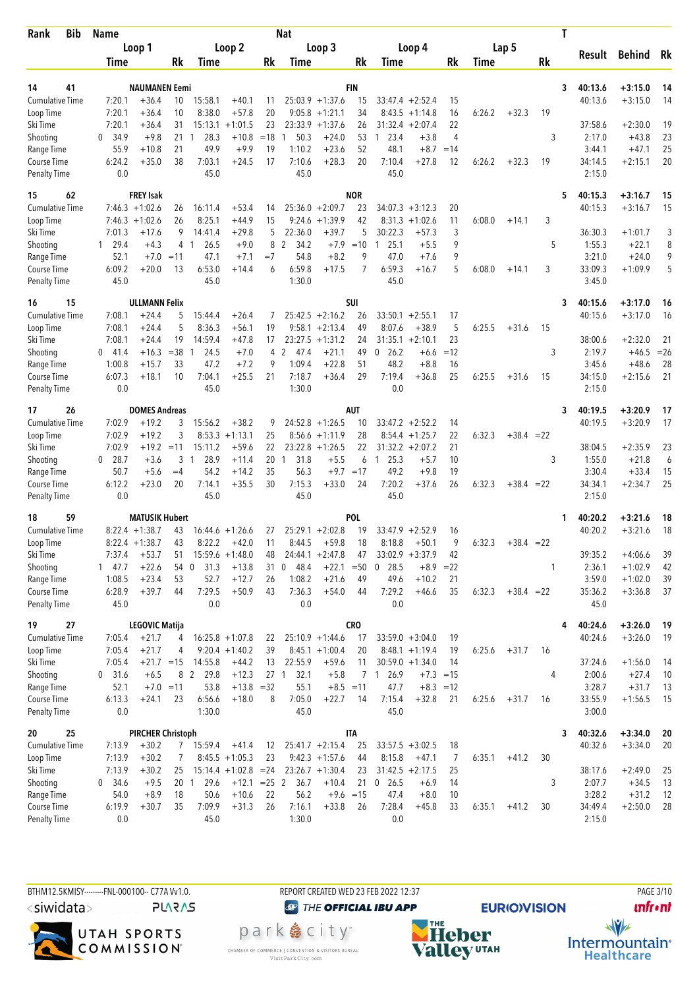| Bib<br>Rank                 | <b>Name</b>      |                          |                 |                        |                                             |          | <b>Nat</b>              |                                       |            |                      |                              |             |        |              |       | T |                   |               |       |
|-----------------------------|------------------|--------------------------|-----------------|------------------------|---------------------------------------------|----------|-------------------------|---------------------------------------|------------|----------------------|------------------------------|-------------|--------|--------------|-------|---|-------------------|---------------|-------|
|                             |                  | Loop 1                   |                 |                        | Loop 2                                      |          |                         | Loop 3                                |            |                      | Loop 4                       |             |        | Lap 5        |       |   |                   |               |       |
|                             | Time             |                          | Rk              | Time                   |                                             | Rk       | Time                    |                                       | Rk         | Time                 |                              | Rk          | Time   |              | Rk    |   | Result            | <b>Behind</b> | Rk    |
|                             |                  |                          |                 |                        |                                             |          |                         |                                       |            |                      |                              |             |        |              |       |   |                   |               |       |
| 41<br>14                    |                  | <b>NAUMANEN Eemi</b>     |                 |                        |                                             |          |                         |                                       | <b>FIN</b> |                      |                              |             |        |              |       | 3 | 40:13.6           | $+3:15.0$     | 14    |
| Cumulative Time             | 7:20.1           | $+36.4$                  | 10              | 15:58.1                | $+40.1$                                     | 11<br>20 |                         | $25:03.9 +1:37.6$<br>$9:05.8 +1:21.1$ | 15<br>34   |                      | $33:47.4 + 2:52.4$           | 15          |        |              |       |   | 40:13.6           | $+3:15.0$     | 14    |
| Loop Time<br>Ski Time       | 7:20.1<br>7:20.1 | $+36.4$<br>$+36.4$       | 10<br>31        | 8:38.0<br>15:13.1      | $+57.8$<br>$+1:01.5$                        | 23       |                         | $23:33.9 +1:37.6$                     | 26         | 8:43.5<br>31:32.4    | $+1:14.8$<br>$+2:07.4$       | 16<br>22    | 6:26.2 | $+32.3$      | 19    |   | 37:58.6           | $+2:30.0$     | 19    |
|                             | 34.9<br>$\Omega$ | $+9.8$                   | 21              | 28.3<br>-1             | $+10.8$                                     | $=18$    | 50.3                    | $+24.0$                               | 53         | 23.4<br>-1           | $+3.8$                       | 4           |        |              | 3     |   | 2:17.0            | $+43.8$       | 23    |
| Shooting<br>Range Time      | 55.9             | $+10.8$                  | 21              | 49.9                   | $+9.9$                                      | 19       | 1:10.2                  | $+23.6$                               | 52         | 48.1                 | $+8.7$                       | $=14$       |        |              |       |   | 3:44.1            | $+47.1$       | 25    |
| Course Time                 | 6:24.2           | $+35.0$                  | 38              | 7:03.1                 | $+24.5$                                     | 17       | 7:10.6                  | $+28.3$                               | 20         | 7:10.4               | $+27.8$                      | 12          | 6:26.2 | $+32.3$      | 19    |   | 34:14.5           | $+2:15.1$     | 20    |
| <b>Penalty Time</b>         | 0.0              |                          |                 | 45.0                   |                                             |          | 45.0                    |                                       |            | 45.0                 |                              |             |        |              |       |   | 2:15.0            |               |       |
| 15<br>62                    |                  | <b>FREY Isak</b>         |                 |                        |                                             |          |                         |                                       | <b>NOR</b> |                      |                              |             |        |              |       | 5 | 40:15.3           | $+3:16.7$     | 15    |
| <b>Cumulative Time</b>      |                  | $7:46.3 +1:02.6$         | 26              | 16:11.4                | $+53.4$                                     | 14       |                         | $25:36.0 + 2:09.7$                    | 23         |                      | $34:07.3 + 3:12.3$           | 20          |        |              |       |   | 40:15.3           | $+3:16.7$     | 15    |
| Loop Time                   |                  | $7:46.3 +1:02.6$         | 26              | 8:25.1                 | $+44.9$                                     | 15       | 9:24.6                  | $+1:39.9$                             | 42         | 8:31.3               | $+1:02.6$                    | 11          | 6:08.0 | $+14.1$      | 3     |   |                   |               |       |
| Ski Time                    | 7:01.3           | $+17.6$                  | 9               | 14:41.4                | $+29.8$                                     | 5        | 22:36.0                 | $+39.7$                               | 5          | 30:22.3              | $+57.3$                      | 3           |        |              |       |   | 36:30.3           | $+1:01.7$     | 3     |
| Shooting                    | 29.4<br>1.       | $+4.3$                   |                 | 26.5<br>4 1            | $+9.0$                                      | 8        | $\overline{2}$<br>34.2  | $+7.9$                                | $=10$      | 25.1<br>-1           | $+5.5$                       | 9           |        |              | 5     |   | 1:55.3            | $+22.1$       | 8     |
| Range Time                  | 52.1             | $+7.0$                   | $=11$           | 47.1                   | $+7.1$                                      | $=7$     | 54.8                    | $+8.2$                                | 9          | 47.0                 | $+7.6$                       | 9           |        |              |       |   | 3:21.0            | $+24.0$       | 9     |
| Course Time                 | 6:09.2           | $+20.0$                  | 13              | 6:53.0                 | $+14.4$                                     | 6        | 6:59.8                  | $+17.5$                               | 7          | 6:59.3               | $+16.7$                      | 5           | 6:08.0 | $+14.1$      | 3     |   | 33:09.3           | $+1:09.9$     | 5     |
| <b>Penalty Time</b>         | 45.0             |                          |                 | 45.0                   |                                             |          | 1:30.0                  |                                       |            | 45.0                 |                              |             |        |              |       |   | 3:45.0            |               |       |
| 16<br>15                    |                  | <b>ULLMANN Felix</b>     |                 |                        |                                             |          |                         |                                       | SUI        |                      |                              |             |        |              |       | 3 | 40:15.6           | $+3:17.0$     | 16    |
| <b>Cumulative Time</b>      | 7:08.1           | $+24.4$                  | 5               | 15:44.4                | $+26.4$                                     | 7        |                         | $25:42.5 + 2:16.2$                    | 26         |                      | $33:50.1 + 2:55.1$           | 17          |        |              |       |   | 40:15.6           | $+3:17.0$     | 16    |
| Loop Time                   | 7:08.1           | $+24.4$                  | 5               | 8:36.3                 | $+56.1$                                     | 19       |                         | $9:58.1 + 2:13.4$                     | 49         | 8:07.6               | $+38.9$                      | 5           | 6:25.5 | $+31.6$      | 15    |   |                   |               |       |
| Ski Time                    | 7:08.1           | $+24.4$                  | 19              | 14:59.4                | $+47.8$                                     | 17       |                         | $23:27.5 +1:31.2$                     | 24         | $31:35.1 + 2:10.1$   |                              | 23          |        |              |       |   | 38:00.6           | $+2:32.0$     | 21    |
| Shooting                    | $0\quad 41.4$    | $+16.3$                  | $= 38$          | 24.5<br>-1             | $+7.0$                                      | 4        | 2<br>47.4               | $+21.1$                               | 49         | $\mathbf{0}$<br>26.2 | $+6.6$                       | $=12$       |        |              | 3     |   | 2:19.7            | $+46.5$       | $=26$ |
| Range Time                  | 1:00.8           | $+15.7$                  | 33              | 47.2                   | $+7.2$                                      | 9        | 1:09.4                  | $+22.8$                               | 51         | 48.2                 | $+8.8$                       | 16          |        |              |       |   | 3:45.6            | $+48.6$       | 28    |
| Course Time                 | 6:07.3           | $+18.1$                  | 10              | 7:04.1                 | $+25.5$                                     | 21       | 7:18.7                  | $+36.4$                               | 29         | 7:19.4               | $+36.8$                      | 25          | 6:25.5 | $+31.6$      | 15    |   | 34:15.0           | $+2:15.6$     | 21    |
| <b>Penalty Time</b>         | 0.0              |                          |                 | 45.0                   |                                             |          | 1:30.0                  |                                       |            | 0.0                  |                              |             |        |              |       |   | 2:15.0            |               |       |
| 26<br>17                    |                  | <b>DOMES Andreas</b>     |                 |                        |                                             |          |                         |                                       | <b>AUT</b> |                      |                              |             |        |              |       | 3 | 40:19.5           | $+3:20.9$     | 17    |
| Cumulative Time             | 7:02.9           | $+19.2$                  | 3               | 15:56.2                | $+38.2$                                     | 9        |                         | $24:52.8 +1:26.5$                     | 10         |                      | $33:47.2 + 2:52.2$           | 14          |        |              |       |   | 40:19.5           | $+3:20.9$     | 17    |
| Loop Time                   | 7:02.9           | $+19.2$                  | 3               | 8:53.3                 | $+1:13.1$                                   | 25       |                         | $8:56.6 +1:11.9$                      | 28         | 8:54.4               | $+1:25.7$                    | 22          | 6:32.3 | $+38.4 = 22$ |       |   |                   |               |       |
| Ski Time                    | 7:02.9           | $+19.2$                  | $=11$           | 15:11.2                | $+59.6$                                     | 22       | 23:22.8                 | $+1:26.5$                             | 22         |                      | $31:32.2 + 2:07.2$           | 21          |        |              |       |   | 38:04.5           | $+2:35.9$     | 23    |
| Shooting                    | $0$ 28.7         | $+3.6$                   | 3               | 28.9<br>$\overline{1}$ | $+11.4$                                     | 20       | 31.8<br>1               | $+5.5$                                | 6          | 25.3<br>$\mathbf{1}$ | $+5.7$                       | 10          |        |              | 3     |   | 1:55.0            | $+21.8$       | 6     |
| Range Time                  | 50.7             | $+5.6$                   | $=4$            | 54.2                   | $+14.2$                                     | 35       | 56.3                    | $+9.7$                                | $=17$      | 49.2                 | $+9.8$                       | 19          |        |              |       |   | 3:30.4            | $+33.4$       | 15    |
| Course Time                 | 6:12.2           | $+23.0$                  | 20              | 7:14.1                 | $+35.5$                                     | 30       | 7:15.3                  | $+33.0$                               | 24         | 7:20.2               | $+37.6$                      | 26          | 6:32.3 | $+38.4$      | $=22$ |   | 34:34.1           | $+2:34.7$     | 25    |
| <b>Penalty Time</b>         | 0.0              |                          |                 | 45.0                   |                                             |          | 45.0                    |                                       |            | 45.0                 |                              |             |        |              |       |   | 2:15.0            |               |       |
| 18<br>59                    |                  | <b>MATUSIK Hubert</b>    |                 |                        |                                             |          |                         |                                       | <b>POL</b> |                      |                              |             |        |              |       | 1 | 40:20.2           | $+3:21.6$     | 18    |
| <b>Cumulative Time</b>      |                  | $8:22.4$ +1:38.7         | 43              | 16:44.6                | $+1:26.6$                                   | 27       |                         | $25:29.1 + 2:02.8$                    | 19         | 33:47.9              | $+2:52.9$                    | 16          |        |              |       |   | 40:20.2           | $+3:21.6$     | 18    |
| Loop Time                   |                  | $8:22.4 +1:38.7$         | 43              | 8:22.2                 | $+42.0$                                     | 11       | 8:44.5                  | $+59.8$                               | 18         | 8:18.8               | $+50.1$                      | 9           | 6:32.3 | $+38.4 = 22$ |       |   |                   |               |       |
| Ski Time                    | 7:37.4           | $+53.7$                  | 51              |                        | $15:59.6 + 1:48.0$                          | 48       |                         | $24:44.1 + 2:47.8$                    | 47         |                      | $33:02.9 + 3:37.9$           | 42          |        |              |       |   | 39:35.2           | $+4:06.6$     | 39    |
| Shooting                    | 147.7            | $+22.6$                  | 54              | 31.3<br>$\overline{0}$ | $+13.8$                                     | 31       | 48.4<br>$\mathbf{0}$    | $+22.1$                               | $= 50$     | $0$ 28.5             | $+8.9$                       | $=22$       |        |              | 1     |   | 2:36.1            | $+1:02.9$     | 42    |
| Range Time<br>Course Time   | 1:08.5<br>6:28.9 | $+23.4$<br>$+39.7$       | 53<br>44        | 52.7<br>7:29.5         | $+12.7$<br>$+50.9$                          | 26<br>43 | 1:08.2<br>7:36.3        | $+21.6$                               | 49         | 49.6<br>7:29.2       | $+10.2$<br>$+46.6$           | 21<br>35    | 6:32.3 | $+38.4 = 22$ |       |   | 3:59.0<br>35:36.2 | $+1:02.0$     | 39    |
| Penalty Time                | 45.0             |                          |                 | 0.0                    |                                             |          | 0.0                     | $+54.0$                               | 44         | 0.0                  |                              |             |        |              |       |   | 45.0              | $+3:36.8$     | 37    |
|                             |                  |                          |                 |                        |                                             |          |                         |                                       |            |                      |                              |             |        |              |       |   |                   |               |       |
| 19<br>27                    |                  | <b>LEGOVIC Matija</b>    |                 |                        |                                             |          |                         |                                       | <b>CRO</b> |                      |                              |             |        |              |       | 4 | 40:24.6           | $+3:26.0$     | 19    |
| Cumulative Time             | 7:05.4           | $+21.7$                  | 4               |                        | $16:25.8 + 1:07.8$                          | 22       |                         | $25:10.9 + 1:44.6$                    | 17         |                      | $33:59.0 + 3:04.0$           | 19          |        |              |       |   | 40:24.6           | $+3:26.0$     | 19    |
| Loop Time                   | 7:05.4           | $+21.7$                  | 4               |                        | $9:20.4 +1:40.2$                            | 39       |                         | $8:45.1 +1:00.4$                      | 20         |                      | $8:48.1 + 1:19.4$            | 19          | 6:25.6 | $+31.7$      | 16    |   |                   |               |       |
| Ski Time                    | 7:05.4           | $+21.7 = 15$             |                 | 14:55.8                | $+44.2$                                     | 13       | 22:55.9                 | $+59.6$                               | 11         |                      | $30:59.0 +1:34.0$            | 14          |        |              |       |   | 37:24.6           | $+1:56.0$     | -14   |
| Shooting                    | $0$ 31.6         | $+6.5$                   |                 | 8 2<br>29.8            | $+12.3$                                     |          | 27 <sub>1</sub><br>32.1 | $+5.8$                                |            | 26.9<br>7 1          |                              | $+7.3 = 15$ |        |              | 4     |   | 2:00.6            | $+27.4$       | 10    |
| Range Time                  | 52.1             | $+7.0 = 11$              | 23              | 53.8                   | $+13.8 = 32$                                |          | 55.1                    | $+8.5 = 11$<br>$+22.7$                |            | 47.7                 |                              | $+8.3 = 12$ |        |              |       |   | 3:28.7            | $+31.7$       | 13    |
| Course Time<br>Penalty Time | 6:13.3<br>0.0    | $+24.1$                  |                 | 6:56.6<br>1:30.0       | $+18.0$                                     | 8        | 7:05.0<br>45.0          |                                       | 14         | 7:15.4<br>45.0       | $+32.8$                      | 21          | 6:25.6 | $+31.7$      | 16    |   | 33:55.9<br>3:00.0 | $+1:56.5$     | 15    |
|                             |                  |                          |                 |                        |                                             |          |                         |                                       |            |                      |                              |             |        |              |       |   |                   |               |       |
| 20<br>25                    |                  | <b>PIRCHER Christoph</b> |                 |                        |                                             |          |                         |                                       | <b>ITA</b> |                      |                              |             |        |              |       | 3 | 40:32.6           | $+3:34.0$     | 20    |
| <b>Cumulative Time</b>      | 7:13.9           | $+30.2$                  | 7 <sup>7</sup>  | 15:59.4                | $+41.4$                                     | 12       |                         | $25:41.7 + 2:15.4$                    | 25         |                      | $33:57.5 + 3:02.5$           | 18          |        |              |       |   | 40:32.6           | $+3:34.0$     | 20    |
| Loop Time<br>Ski Time       | 7:13.9<br>7:13.9 | $+30.2$<br>$+30.2$       | 7<br>25         |                        | $8:45.5 +1:05.3$<br>$15:14.4 + 1:02.8 = 24$ | 23       |                         | $9:42.3 +1:57.6$<br>$23:26.7 +1:30.4$ | 44         | 8:15.8               | $+47.1$<br>$31:42.5 +2:17.5$ | 7<br>25     | 6:35.1 | $+41.2$      | 30    |   | 38:17.6           | $+2:49.0$     | 25    |
| Shooting                    | 0, 34.6          | $+9.5$                   | 20 <sub>1</sub> | 29.6                   | $+12.1$ = 25 2                              |          | 36.7                    | $+10.4$                               | 23<br>21   | $0$ 26.5             | $+6.9$                       | 14          |        |              | 3     |   | 2:07.7            | $+34.5$       | 13    |
| Range Time                  | 54.0             | $+8.9$                   | 18              | 50.6                   | $+10.6$                                     | 22       | 56.2                    | $+9.6 = 15$                           |            | 47.4                 | $+8.0$                       | 10          |        |              |       |   | 3:28.2            | $+31.2$       | 12    |
| Course Time                 | 6:19.9           | $+30.7$                  | 35              | 7:09.9                 | $+31.3$                                     | 26       | 7:16.1                  | $+33.8$                               | 26         | 7:28.4               | $+45.8$                      | 33          | 6:35.1 | $+41.2$      | 30    |   | 34:49.4           | $+2:50.0$     | 28    |
| <b>Penalty Time</b>         | 0.0              |                          |                 | 45.0                   |                                             |          | 1:30.0                  |                                       |            | 0.0                  |                              |             |        |              |       |   | 2:15.0            |               |       |
|                             |                  |                          |                 |                        |                                             |          |                         |                                       |            |                      |                              |             |        |              |       |   |                   |               |       |



REPORT CREATED WED 23 FEB 2022 12:37

CHAMBER OF COMMERCE | CONVENTION & VISITORS BUREAU<br>Visit Park City.com

**O THE OFFICIAL IBU APP** park e city<sup>®</sup>

PAGE 3/10





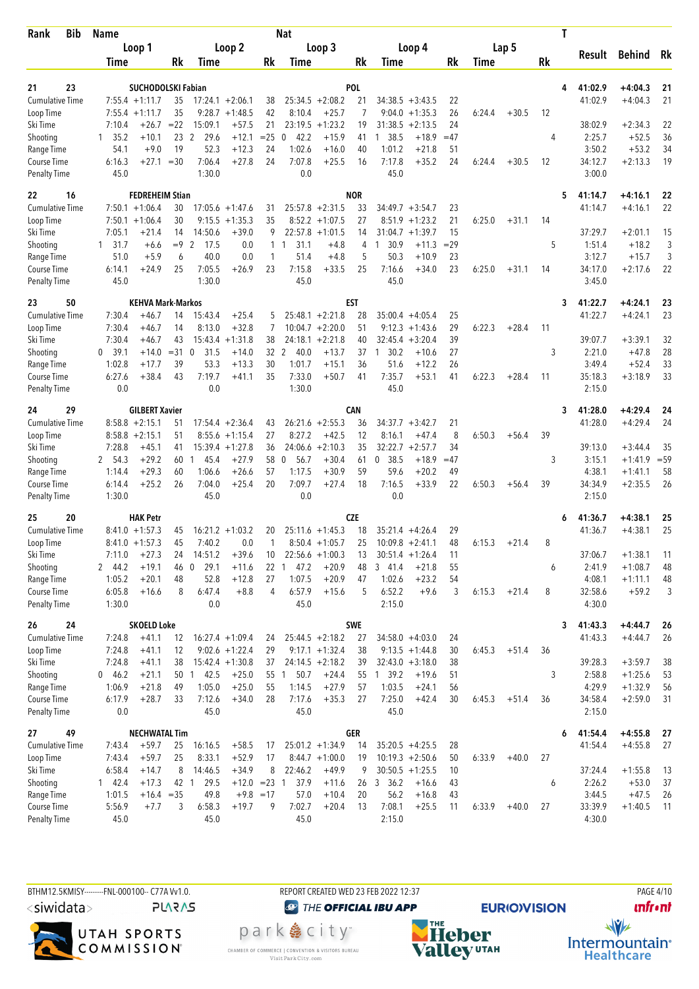| Bib<br>Rank                 | <b>Name</b>      |                             |        |                        |                    |              | <b>Nat</b>                 |                    |            |                                        |          |        |         | T         |                   |                    |          |
|-----------------------------|------------------|-----------------------------|--------|------------------------|--------------------|--------------|----------------------------|--------------------|------------|----------------------------------------|----------|--------|---------|-----------|-------------------|--------------------|----------|
|                             |                  | Loop 1                      |        |                        | Loop 2             |              |                            | Loop 3             |            | Loop 4                                 |          |        | Lap 5   |           |                   |                    |          |
|                             | Time             |                             | Rk     | Time                   |                    | Rk           | <b>Time</b>                |                    | Rk         | Time                                   | Rk       | Time   |         | <b>Rk</b> | Result            | Behind             | Rk       |
|                             |                  |                             |        |                        |                    |              |                            |                    |            |                                        |          |        |         |           |                   |                    |          |
| 21<br>23                    |                  | <b>SUCHODOLSKI Fabian</b>   |        |                        |                    |              |                            |                    | <b>POL</b> |                                        |          |        |         | 4         | 41:02.9           | $+4:04.3$          | 21       |
| <b>Cumulative Time</b>      |                  | $7:55.4 +1:11.7$            | 35     |                        | $17:24.1 + 2:06.1$ | 38           |                            | $25:34.5 + 2:08.2$ | 21         | $34:38.5 + 3:43.5$                     | 22       |        |         |           | 41:02.9           | $+4:04.3$          | 21       |
| Loop Time                   |                  | $7:55.4 +1:11.7$<br>$+26.7$ | 35     |                        | $9:28.7 +1:48.5$   | 42           | 8:10.4                     | $+25.7$            | 7          | 9:04.0<br>$+1:35.3$                    | 26       | 6:24.4 | $+30.5$ | 12        |                   |                    |          |
| Ski Time                    | 7:10.4           |                             | $= 22$ | 15:09.1                | $+57.5$            | 21           |                            | $23:19.5 + 1:23.2$ | 19         | 31:38.5<br>$+2:13.5$                   | 24       |        |         |           | 38:02.9           | $+2:34.3$          | 22       |
| Shooting                    | $1 \quad 35.2$   | $+10.1$<br>$+9.0$           | 19     | 29.6<br>23 2<br>52.3   | $+12.1$<br>$+12.3$ | $= 25$<br>24 | 42.2<br>$\Omega$<br>1:02.6 | $+15.9$            | 41         | 1 38.5<br>$+18.9$<br>1:01.2<br>$+21.8$ | $=47$    |        |         | 4         | 2:25.7<br>3:50.2  | $+52.5$<br>$+53.2$ | 36<br>34 |
| Range Time<br>Course Time   | 54.1<br>6:16.3   | $+27.1 = 30$                |        | 7:06.4                 | $+27.8$            | 24           | 7:07.8                     | $+16.0$<br>$+25.5$ | 40<br>16   | 7:17.8<br>$+35.2$                      | 51<br>24 | 6:24.4 | $+30.5$ | 12        | 34:12.7           | $+2:13.3$          | 19       |
| <b>Penalty Time</b>         | 45.0             |                             |        | 1:30.0                 |                    |              | 0.0                        |                    |            | 45.0                                   |          |        |         |           | 3:00.0            |                    |          |
| 22<br>16                    |                  | <b>FEDREHEIM Stian</b>      |        |                        |                    |              |                            |                    | <b>NOR</b> |                                        |          |        |         | 5         | 41:14.7           | $+4:16.1$          | 22       |
| <b>Cumulative Time</b>      |                  | $7:50.1 + 1:06.4$           | 30     |                        | $17:05.6 + 1:47.6$ | 31           |                            | $25:57.8 + 2:31.5$ | 33         | $34:49.7 + 3:54.7$                     | 23       |        |         |           | 41:14.7           | $+4:16.1$          | 22       |
| Loop Time                   |                  | $7:50.1 + 1:06.4$           | 30     | 9:15.5                 | $+1:35.3$          | 35           |                            | $8:52.2 +1:07.5$   | 27         | $+1:23.2$<br>8:51.9                    | 21       | 6:25.0 | $+31.1$ | 14        |                   |                    |          |
| Ski Time                    | 7:05.1           | $+21.4$                     | 14     | 14:50.6                | $+39.0$            | 9            |                            | $22:57.8 + 1:01.5$ | 14         | 31:04.7<br>$+1:39.7$                   | 15       |        |         |           | 37:29.7           | $+2:01.1$          | 15       |
| Shooting                    | 1 31.7           | $+6.6$                      | $=9$   | $\overline{2}$<br>17.5 | 0.0                | 1            | 31.1<br>1                  | $+4.8$             | 4          | 30.9<br>$+11.3$<br>$\mathbf{1}$        | $=29$    |        |         | 5         | 1:51.4            | $+18.2$            | 3        |
| Range Time                  | 51.0             | $+5.9$                      | 6      | 40.0                   | 0.0                | 1            | 51.4                       | $+4.8$             | 5          | 50.3<br>$+10.9$                        | 23       |        |         |           | 3:12.7            | $+15.7$            | 3        |
| Course Time                 | 6:14.1           | $+24.9$                     | 25     | 7:05.5                 | $+26.9$            | 23           | 7:15.8                     | $+33.5$            | 25         | 7:16.6<br>$+34.0$                      | 23       | 6:25.0 | $+31.1$ | 14        | 34:17.0           | $+2:17.6$          | 22       |
| Penalty Time                | 45.0             |                             |        | 1:30.0                 |                    |              | 45.0                       |                    |            | 45.0                                   |          |        |         |           | 3:45.0            |                    |          |
| 23<br>50                    |                  | <b>KEHVA Mark-Markos</b>    |        |                        |                    |              |                            |                    | <b>EST</b> |                                        |          |        |         | 3         | 41:22.7           | $+4:24.1$          | 23       |
| <b>Cumulative Time</b>      | 7:30.4           | $+46.7$                     | 14     | 15:43.4                | $+25.4$            | 5            |                            | $25:48.1 + 2:21.8$ | 28         | $35:00.4 +4:05.4$                      | 25       |        |         |           | 41:22.7           | $+4:24.1$          | 23       |
| Loop Time                   | 7:30.4           | $+46.7$                     | 14     | 8:13.0                 | $+32.8$            | 7            |                            | $10:04.7 +2:20.0$  | 51         | 9:12.3<br>$+1:43.6$                    | 29       | 6:22.3 | $+28.4$ | 11        |                   |                    |          |
| Ski Time                    | 7:30.4           | $+46.7$                     | 43     |                        | $15:43.4 + 1:31.8$ | 38           |                            | $24:18.1 + 2:21.8$ | 40         | $32:45.4 + 3:20.4$                     | 39       |        |         |           | 39:07.7           | $+3:39.1$          | 32       |
| Shooting                    | 0, 39.1          | $+14.0$                     | $= 31$ | $\mathbf{0}$<br>31.5   | $+14.0$            | 32 2         | 40.0                       | $+13.7$            | 37         | 30.2<br>$+10.6$<br>$\mathbf{1}$        | 27       |        |         | 3         | 2:21.0            | $+47.8$            | 28       |
| Range Time                  | 1:02.8           | $+17.7$                     | 39     | 53.3                   | $+13.3$            | 30           | 1:01.7                     | $+15.1$            | 36         | 51.6<br>$+12.2$                        | 26       |        |         |           | 3:49.4            | $+52.4$            | 33       |
| Course Time                 | 6:27.6           | $+38.4$                     | 43     | 7:19.7                 | $+41.1$            | 35           | 7:33.0                     | $+50.7$            | 41         | 7:35.7<br>$+53.1$                      | 41       | 6:22.3 | $+28.4$ | 11        | 35:18.3           | $+3:18.9$          | 33       |
| <b>Penalty Time</b>         | 0.0              |                             |        | 0.0                    |                    |              | 1:30.0                     |                    |            | 45.0                                   |          |        |         |           | 2:15.0            |                    |          |
| 29<br>24                    |                  | <b>GILBERT Xavier</b>       |        |                        |                    |              |                            |                    | CAN        |                                        |          |        |         | 3         | 41:28.0           | $+4:29.4$          | 24       |
| Cumulative Time             |                  | $8:58.8 + 2:15.1$           | 51     |                        | $17:54.4 + 2:36.4$ | 43           |                            | $26:21.6 + 2:55.3$ | 36         | $34:37.7 + 3:42.7$                     | 21       |        |         |           | 41:28.0           | $+4:29.4$          | 24       |
| Loop Time                   |                  | $8:58.8 + 2:15.1$           | 51     | 8:55.6                 | $+1:15.4$          | 27           | 8:27.2                     | $+42.5$            | 12         | 8:16.1<br>$+47.4$                      | 8        | 6:50.3 | $+56.4$ | 39        |                   |                    |          |
| Ski Time                    | 7:28.8           | $+45.1$                     | 41     |                        | $15:39.4 + 1:27.8$ | 36           | 24:06.6                    | $+2:10.3$          | 35         | 32:22.7<br>$+2:57.7$                   | 34       |        |         |           | 39:13.0           | $+3:44.4$          | 35       |
| Shooting                    | 2 54.3           | $+29.2$                     | 60     | 45.4<br>1              | $+27.9$            | 58           | 56.7<br>0                  | $+30.4$            | 61         | 0, 38.5<br>$+18.9$                     | $=47$    |        |         | 3         | 3:15.1            | $+1:41.9$          | $= 59$   |
| Range Time                  | 1:14.4           | $+29.3$                     | 60     | 1:06.6                 | $+26.6$            | 57           | 1:17.5                     | $+30.9$            | 59         | 59.6<br>$+20.2$                        | 49       |        |         |           | 4:38.1            | $+1:41.1$          | 58       |
| Course Time                 | 6:14.4           | $+25.2$                     | 26     | 7:04.0                 | $+25.4$            | 20           | 7:09.7                     | $+27.4$            | 18         | 7:16.5<br>$+33.9$                      | 22       | 6:50.3 | $+56.4$ | 39        | 34:34.9           | $+2:35.5$          | 26       |
| <b>Penalty Time</b>         | 1:30.0           |                             |        | 45.0                   |                    |              | 0.0                        |                    |            | 0.0                                    |          |        |         |           | 2:15.0            |                    |          |
| 25<br>20                    |                  | <b>HAK Petr</b>             |        |                        |                    |              |                            |                    | <b>CZE</b> |                                        |          |        |         | 6         | 41:36.7           | $+4:38.1$          | 25       |
| <b>Cumulative Time</b>      |                  | $8:41.0 + 1:57.3$           | 45     |                        | $16:21.2 + 1:03.2$ | 20           | 25:11.6                    | $+1:45.3$          | 18         | $35:21.4 +4:26.4$                      | 29       |        |         |           | 41:36.7           | $+4:38.1$          | 25       |
| Loop Time                   |                  | $8:41.0 +1:57.3$            | 45     | 7:40.2                 | 0.0                | 1            |                            | $8:50.4 +1:05.7$   | 25         | $10:09.8 + 2:41.1$                     | 48       | 6:15.3 | $+21.4$ | 8         |                   |                    |          |
| Ski Time                    | 7:11.0           | $+27.3$                     | 24     | 14:51.2                | $+39.6$            | 10           |                            | $22:56.6 + 1:00.3$ | 13         | $30:51.4 + 1:26.4$                     | 11       |        |         |           | 37:06.7           | $+1:38.1$          | 11       |
| Shooting                    | 2 44.2           | $+19.1$                     | 46 0   | 29.1                   | $+11.6$            | 22           | 47.2<br>-1                 | $+20.9$            | 48         | 3 41.4<br>$+21.8$                      | 55       |        |         | 6         | 2:41.9            | $+1:08.7$          | 48       |
| Range Time                  | 1:05.2           | $+20.1$                     | 48     | 52.8                   | $+12.8$            | 27           | 1:07.5                     | $+20.9$            | 47         | 1:02.6<br>$+23.2$                      | 54       |        |         |           | 4:08.1            | $+1:11.1$          | 48       |
| Course Time<br>Penalty Time | 6:05.8<br>1:30.0 | $+16.6$                     | 8      | 6:47.4<br>0.0          | $+8.8$             | 4            | 6:57.9<br>45.0             | $+15.6$            | 5          | 6:52.2<br>$+9.6$<br>2:15.0             | 3        | 6:15.3 | $+21.4$ | 8         | 32:58.6<br>4:30.0 | $+59.2$            | 3        |
| 24<br>26                    |                  | <b>SKOELD Loke</b>          |        |                        |                    |              |                            |                    | <b>SWE</b> |                                        |          |        |         | 3         | 41:43.3           | $+4:44.7$          | 26       |
| <b>Cumulative Time</b>      | 7:24.8           | $+41.1$                     | 12     |                        | $16:27.4 + 1:09.4$ | 24           |                            | $25:44.5 + 2:18.2$ | 27         | $34:58.0 + 4:03.0$                     | 24       |        |         |           | 41:43.3           | $+4:44.7$          | 26       |
| Loop Time                   | 7:24.8           | $+41.1$                     | 12     |                        | $9:02.6 +1:22.4$   | 29           |                            | $9:17.1 + 1:32.4$  | 38         | $9:13.5 + 1:44.8$                      | 30       | 6:45.3 | $+51.4$ | 36        |                   |                    |          |
| Ski Time                    | 7:24.8           | $+41.1$                     | 38     |                        | $15:42.4 + 1:30.8$ | 37           |                            | $24:14.5 + 2:18.2$ | 39         | $32:43.0 + 3:18.0$                     | 38       |        |         |           | 39:28.3           | $+3:59.7$          | 38       |
| Shooting                    | 0 46.2           | $+21.1$                     |        | 50 1 42.5              | $+25.0$            | 55 1         | 50.7                       | $+24.4$            |            | 55 1 39.2<br>$+19.6$                   | 51       |        |         | 3         | 2:58.8            | $+1:25.6$          | 53       |
| Range Time                  | 1:06.9           | $+21.8$                     | 49     | 1:05.0                 | $+25.0$            | 55           | 1:14.5                     | $+27.9$            | 57         | 1:03.5<br>$+24.1$                      | 56       |        |         |           | 4:29.9            | $+1:32.9$          | 56       |
| Course Time                 | 6:17.9           | $+28.7$                     | 33     | 7:12.6                 | $+34.0$            | 28           | 7:17.6                     | $+35.3$            | 27         | 7:25.0<br>$+42.4$                      | 30       | 6:45.3 | $+51.4$ | 36        | 34:58.4           | $+2:59.0$          | 31       |
| Penalty Time                | 0.0              |                             |        | 45.0                   |                    |              | 45.0                       |                    |            | 45.0                                   |          |        |         |           | 2:15.0            |                    |          |
| 27<br>49                    |                  | <b>NECHWATAL Tim</b>        |        |                        |                    |              |                            |                    | GER        |                                        |          |        |         | 6         | 41:54.4           | $+4:55.8$          | 27       |
| <b>Cumulative Time</b>      | 7:43.4           | $+59.7$                     | 25     | 16:16.5                | $+58.5$            | 17           |                            | $25:01.2 +1:34.9$  | 14         | $35:20.5 +4:25.5$                      | 28       |        |         |           | 41:54.4           | $+4:55.8$          | 27       |
| Loop Time                   | 7:43.4           | $+59.7$                     | 25     | 8:33.1                 | $+52.9$            | 17           |                            | $8:44.7 +1:00.0$   | 19         | $10:19.3 + 2:50.6$                     | 50       | 6:33.9 | $+40.0$ | 27        |                   |                    |          |
| Ski Time                    | 6:58.4           | $+14.7$                     | 8      | 14:46.5                | $+34.9$            | 8            | 22:46.2                    | $+49.9$            | 9          | $30:50.5 + 1:25.5$                     | 10       |        |         |           | 37:24.4           | $+1:55.8$          | 13       |
| Shooting                    | 142.4            | $+17.3$                     |        | 42 1<br>29.5           | $+12.0 = 23$ 1     |              | 37.9                       | $+11.6$            | 26         | 3, 36.2<br>$+16.6$                     | 43       |        |         | 6         | 2:26.2            | $+53.0$            | 37       |
| Range Time                  | 1:01.5           | $+16.4 = 35$                |        | 49.8                   |                    | $+9.8 = 17$  | 57.0                       | $+10.4$            | 20         | 56.2<br>$+16.8$                        | 43       |        |         |           | 3:44.5            | $+47.5$            | 26       |
| Course Time                 | 5:56.9           | $+7.7$                      | 3      | 6:58.3                 | $+19.7$            | 9            | 7:02.7                     | $+20.4$            | 13         | 7:08.1<br>$+25.5$                      | 11       | 6:33.9 | $+40.0$ | 27        | 33:39.9           | $+1:40.5$          | 11       |
| <b>Penalty Time</b>         | 45.0             |                             |        | 45.0                   |                    |              | 45.0                       |                    |            | 2:15.0                                 |          |        |         |           | 4:30.0            |                    |          |



REPORT CREATED WED 23 FEB 2022 12:37

park e city<sup>®</sup>

CHAMBER OF COMMERCE | CONVENTION & VISITORS BUREAU<br>Visit Park City.com

**O THE OFFICIAL IBU APP** 

**EURIO)VISION NHE**<br>Valley<sup>utAH</sup>

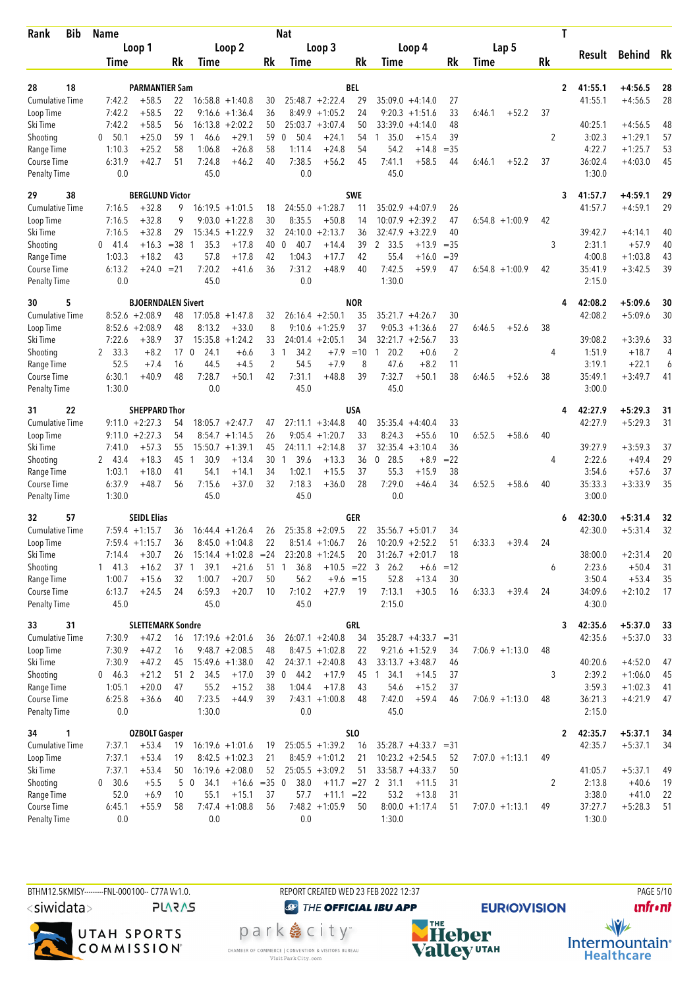| <b>Bib</b><br>Rank          | Name             |                           |          |                      |                         |                | Nat                  |                    |            |                              |                    |                |                   |         | T            |                   |                        |          |
|-----------------------------|------------------|---------------------------|----------|----------------------|-------------------------|----------------|----------------------|--------------------|------------|------------------------------|--------------------|----------------|-------------------|---------|--------------|-------------------|------------------------|----------|
|                             |                  | Loop 1                    |          |                      | Loop 2                  |                |                      | Loop 3             |            | Loop 4                       |                    |                | Lap 5             |         |              |                   |                        |          |
|                             | Time             |                           | Rk       | Time                 |                         | Rk             | Time                 |                    | Rk         | Time                         |                    | Rk             | Time              |         | Rk           | Result            | <b>Behind</b>          | Rk       |
|                             |                  |                           |          |                      |                         |                |                      |                    |            |                              |                    |                |                   |         |              |                   |                        |          |
| 18<br>28                    |                  | <b>PARMANTIER Sam</b>     |          |                      |                         |                |                      |                    | <b>BEL</b> |                              |                    |                |                   |         | 2            | 41:55.1           | $+4:56.5$              | 28       |
| <b>Cumulative Time</b>      | 7:42.2           | $+58.5$                   | 22       |                      | $16:58.8 + 1:40.8$      | 30             |                      | $25:48.7 + 2:22.4$ | 29         | $35:09.0 + 4:14.0$           |                    | 27             |                   |         |              | 41:55.1           | $+4:56.5$              | 28       |
| Loop Time                   | 7:42.2           | $+58.5$                   | 22       |                      | $9:16.6 + 1:36.4$       | 36             |                      | $8:49.9 +1:05.2$   | 24         | 9:20.3<br>$+1:51.6$          |                    | 33             | 6:46.1            | $+52.2$ | 37           |                   |                        |          |
| Ski Time                    | 7:42.2           | $+58.5$                   | 56       |                      | $16:13.8 + 2:02.2$      | 50             | 25:03.7              | $+3:07.4$          | 50         | 33:39.0                      | $+4:14.0$          | 48             |                   |         |              | 40:25.1           | $+4:56.5$              | 48       |
| Shooting<br>Range Time      | 0 50.1<br>1:10.3 | $+25.0$<br>$+25.2$        | 59<br>58 | 46.6<br>-1<br>1:06.8 | $+29.1$<br>$+26.8$      | 59<br>58       | 50.4<br>0<br>1:11.4  | $+24.1$<br>$+24.8$ | 54<br>54   | 35.0<br>$\mathbf{1}$<br>54.2 | $+15.4$<br>$+14.8$ | 39<br>$=35$    |                   |         | 2            | 3:02.3<br>4:22.7  | $+1:29.1$<br>$+1:25.7$ | 57<br>53 |
| Course Time                 | 6:31.9           | $+42.7$                   | 51       | 7:24.8               | $+46.2$                 | 40             | 7:38.5               | $+56.2$            | 45         | 7:41.1                       | $+58.5$            | 44             | 6:46.1            | $+52.2$ | 37           | 36:02.4           | $+4:03.0$              | 45       |
| <b>Penalty Time</b>         | 0.0              |                           |          | 45.0                 |                         |                | 0.0                  |                    |            | 45.0                         |                    |                |                   |         |              | 1:30.0            |                        |          |
| 38<br>29                    |                  | <b>BERGLUND Victor</b>    |          |                      |                         |                |                      |                    | <b>SWE</b> |                              |                    |                |                   |         | 3            | 41:57.7           | $+4:59.1$              | 29       |
| <b>Cumulative Time</b>      | 7:16.5           | $+32.8$                   | 9        |                      | $16:19.5 + 1:01.5$      | 18             |                      | $24:55.0 +1:28.7$  | 11         | $35:02.9 + 4:07.9$           |                    | 26             |                   |         |              | 41:57.7           | $+4:59.1$              | 29       |
| Loop Time                   | 7:16.5           | $+32.8$                   | 9        |                      | $9:03.0 +1:22.8$        | 30             | 8:35.5               | $+50.8$            | 14         | 10:07.9<br>$+2:39.2$         |                    | 47             | $6:54.8 +1:00.9$  |         | 42           |                   |                        |          |
| Ski Time                    | 7:16.5           | $+32.8$                   | 29       | 15:34.5              | $+1:22.9$               | 32             | 24:10.0              | $+2:13.7$          | 36         | 32:47.9                      | $+3:22.9$          | 40             |                   |         |              | 39:42.7           | $+4:14.1$              | 40       |
| Shooting                    | $0\quad 41.4$    | $+16.3$                   | $=38$    | 35.3<br>-1           | $+17.8$                 | 40             | 40.7<br>0            | $+14.4$            | 39         | 2 33.5                       | $+13.9$            | $=35$          |                   |         | 3            | 2:31.1            | $+57.9$                | 40       |
| Range Time                  | 1:03.3           | $+18.2$                   | 43       | 57.8                 | $+17.8$                 | 42             | 1:04.3               | $+17.7$            | 42         | 55.4                         | $+16.0$            | $=39$          |                   |         |              | 4:00.8            | $+1:03.8$              | 43       |
| Course Time                 | 6:13.2           | $+24.0$                   | $= 21$   | 7:20.2               | $+41.6$                 | 36             | 7:31.2               | $+48.9$            | 40         | 7:42.5                       | $+59.9$            | 47             | $6:54.8 +1:00.9$  |         | 42           | 35:41.9           | $+3:42.5$              | 39       |
| Penalty Time                | 0.0              |                           |          | 45.0                 |                         |                | 0.0                  |                    |            | 1:30.0                       |                    |                |                   |         |              | 2:15.0            |                        |          |
| 5<br>30                     |                  | <b>BJOERNDALEN Sivert</b> |          |                      |                         |                |                      |                    | <b>NOR</b> |                              |                    |                |                   |         | 4            | 42:08.2           | $+5:09.6$              | 30       |
| <b>Cumulative Time</b>      |                  | $8:52.6 + 2:08.9$         | 48       |                      | $17:05.8 + 1:47.8$      | 32             |                      | $26:16.4 + 2:50.1$ | 35         | $35:21.7 +4:26.7$            |                    | 30             |                   |         |              | 42:08.2           | $+5:09.6$              | 30       |
| Loop Time                   |                  | $8:52.6 + 2:08.9$         | 48       | 8:13.2               | $+33.0$                 | 8              |                      | $9:10.6 + 1:25.9$  | 37         | 9:05.3                       | $+1:36.6$          | 27             | 6:46.5            | $+52.6$ | 38           |                   |                        |          |
| Ski Time                    | 7:22.6           | $+38.9$                   | 37       |                      | $15:35.8 + 1:24.2$      | 33             |                      | $24:01.4 +2:05.1$  | 34         | $32:21.7 + 2:56.7$           |                    | 33             |                   |         |              | 39:08.2           | $+3:39.6$              | 33       |
| Shooting                    | 33.3<br>2        | $+8.2$                    | 17       | $\mathbf{0}$<br>24.1 | $+6.6$                  | 3              | 34.2<br>$\mathbf{1}$ | $+7.9$             | $=10$      | 20.2<br>$\mathbf{1}$         | $+0.6$             | $\overline{2}$ |                   |         | 4            | 1:51.9            | $+18.7$                | 4        |
| Range Time                  | 52.5             | $+7.4$                    | 16       | 44.5                 | $+4.5$                  | $\overline{2}$ | 54.5                 | $+7.9$             | 8          | 47.6                         | $+8.2$             | 11             |                   |         |              | 3:19.1            | $+22.1$                | 6        |
| Course Time                 | 6:30.1           | $+40.9$                   | 48       | 7:28.7               | $+50.1$                 | 42             | 7:31.1               | $+48.8$            | 39         | 7:32.7                       | $+50.1$            | 38             | 6:46.5            | $+52.6$ | 38           | 35:49.1           | $+3:49.7$              | 41       |
| <b>Penalty Time</b>         | 1:30.0           |                           |          | 0.0                  |                         |                | 45.0                 |                    |            | 45.0                         |                    |                |                   |         |              | 3:00.0            |                        |          |
| 22<br>31                    |                  | <b>SHEPPARD Thor</b>      |          |                      |                         |                |                      |                    | USA        |                              |                    |                |                   |         | 4            | 42:27.9           | $+5:29.3$              | 31       |
| <b>Cumulative Time</b>      |                  | $9:11.0 + 2:27.3$         | 54       |                      | $18:05.7 + 2:47.7$      | 47             |                      | $27:11.1 + 3:44.8$ | 40         | $35:35.4 +4:40.4$            |                    | 33             |                   |         |              | 42:27.9           | $+5:29.3$              | 31       |
| Loop Time                   |                  | $9:11.0 + 2:27.3$         | 54       |                      | $8:54.7 +1:14.5$        | 26             |                      | $9:05.4 +1:20.7$   | 33         | 8:24.3                       | $+55.6$            | 10             | 6:52.5            | $+58.6$ | 40           |                   |                        |          |
| Ski Time                    | 7:41.0           | $+57.3$                   | 55       |                      | $15:50.7 + 1:39.1$      | 45             |                      | $24:11.1 + 2:14.8$ | 37         | $32:35.4 + 3:10.4$           |                    | 36             |                   |         |              | 39:27.9           | $+3:59.3$              | 37       |
| Shooting                    | 2 43.4           | $+18.3$                   | 45       | 30.9<br>1            | $+13.4$                 | 30             | 39.6<br>$\mathbf{1}$ | $+13.3$            | 36         | $0$ 28.5                     | $+8.9$             | $= 22$         |                   |         | 4            | 2:22.6            | $+49.4$                | 29       |
| Range Time                  | 1:03.1           | $+18.0$                   | 41       | 54.1                 | $+14.1$                 | 34             | 1:02.1               | $+15.5$            | 37         | 55.3                         | $+15.9$            | 38             |                   |         |              | 3:54.6            | $+57.6$                | 37       |
| Course Time                 | 6:37.9           | $+48.7$                   | 56       | 7:15.6               | $+37.0$                 | 32             | 7:18.3               | $+36.0$            | 28         | 7:29.0                       | $+46.4$            | 34             | 6:52.5            | $+58.6$ | 40           | 35:33.3           | $+3:33.9$              | 35       |
| Penalty Time                | 1:30.0           |                           |          | 45.0                 |                         |                | 45.0                 |                    |            | 0.0                          |                    |                |                   |         |              | 3:00.0            |                        |          |
| 57<br>32                    |                  | <b>SEIDL Elias</b>        |          |                      |                         |                |                      |                    | GER        |                              |                    |                |                   |         | 6            | 42:30.0           | $+5:31.4$              | 32       |
| <b>Cumulative Time</b>      |                  | $7:59.4$ +1:15.7          | 36       |                      | $16:44.4 + 1:26.4$      | 26             | 25:35.8              | $+2:09.5$          | 22         | $35:56.7 + 5:01.7$           |                    | 34             |                   |         |              | 42:30.0           | $+5:31.4$              | 32       |
| Loop Time                   |                  | $7:59.4 +1:15.7$          | 36       |                      | $8:45.0 + 1:04.8$       | 22             |                      | $8:51.4 +1:06.7$   | 26         | $10:20.9 + 2:52.2$           |                    | 51             | 6:33.3            | $+39.4$ | 24           |                   |                        |          |
| Ski Time                    | 7:14.4           | $+30.7$                   | 26       |                      | $15:14.4 + 1:02.8 = 24$ |                |                      | $23:20.8 +1:24.5$  | 20         | $31:26.7 + 2:01.7$           |                    | 18             |                   |         |              | 38:00.0           | $+2:31.4$              | 20       |
| Shooting                    | $1 \quad 41.3$   | $+16.2$                   |          | 37 1 39.1            | $+21.6$                 | 51 1           | 36.8                 |                    |            | $+10.5$ = 22 3 26.2          | $+6.6$             | $=12$          |                   |         | 6            | 2:23.6            | $+50.4$                | 31       |
| Range Time                  | 1:00.7           | $+15.6$                   | 32       | 1:00.7               | $+20.7$                 | 50             | 56.2                 | $+9.6 = 15$        |            | 52.8                         | $+13.4$            | 30             |                   |         |              | 3:50.4            | $+53.4$                | 35       |
| Course Time<br>Penalty Time | 6:13.7<br>45.0   | $+24.5$                   | 24       | 6:59.3<br>45.0       | $+20.7$                 | 10             | 7:10.2<br>45.0       | $+27.9$            | 19         | 7:13.1<br>2:15.0             | $+30.5$            | 16             | 6:33.3            | $+39.4$ | 24           | 34:09.6<br>4:30.0 | $+2:10.2$              | 17       |
| 31<br>33                    |                  | <b>SLETTEMARK Sondre</b>  |          |                      |                         |                |                      |                    | <b>GRL</b> |                              |                    |                |                   |         | 3            | 42:35.6           | $+5:37.0$              | 33       |
| <b>Cumulative Time</b>      | 7:30.9           | $+47.2$                   | 16       |                      | $17:19.6 + 2:01.6$      | 36             |                      | $26:07.1 + 2:40.8$ | 34         | $35:28.7 +4:33.7 = 31$       |                    |                |                   |         |              | 42:35.6           | $+5:37.0$              | 33       |
| Loop Time                   | 7:30.9           | $+47.2$                   | 16       |                      | $9:48.7 + 2:08.5$       | 48             |                      | $8:47.5 +1:02.8$   | 22         | $9:21.6 + 1:52.9$            |                    | 34             | $7:06.9 +1:13.0$  |         | 48           |                   |                        |          |
| Ski Time                    | 7:30.9           | $+47.2$                   | 45       |                      | $15:49.6 + 1:38.0$      | 42             |                      | $24:37.1 + 2:40.8$ | 43         | $33:13.7 + 3:48.7$           |                    | 46             |                   |         |              | 40:20.6           | $+4:52.0$              | 47       |
| Shooting                    | 0 46.3           | $+21.2$                   | 51 2     | 34.5                 | $+17.0$                 | 39             | $0$ 44.2             | $+17.9$            |            | 45 1 34.1                    | $+14.5$            | 37             |                   |         | 3            | 2:39.2            | $+1:06.0$              | 45       |
| Range Time                  | 1:05.1           | $+20.0$                   | 47       | 55.2                 | $+15.2$                 | 38             | 1:04.4               | $+17.8$            | 43         | 54.6                         | $+15.2$            | 37             |                   |         |              | 3:59.3            | $+1:02.3$              | 41       |
| Course Time                 | 6:25.8           | $+36.6$                   | 40       | 7:23.5               | $+44.9$                 | 39             |                      | $7:43.1 +1:00.8$   | 48         | 7:42.0                       | $+59.4$            | 46             | $7:06.9 +1:13.0$  |         | 48           | 36:21.3           | $+4:21.9$              | 47       |
| <b>Penalty Time</b>         | 0.0              |                           |          | 1:30.0               |                         |                | 0.0                  |                    |            | 45.0                         |                    |                |                   |         |              | 2:15.0            |                        |          |
| 34<br>1                     |                  | <b>OZBOLT Gasper</b>      |          |                      |                         |                |                      |                    | <b>SLO</b> |                              |                    |                |                   |         | $\mathbf{2}$ | 42:35.7           | $+5:37.1$              | 34       |
| <b>Cumulative Time</b>      | 7:37.1           | $+53.4$                   | 19       |                      | $16:19.6 + 1:01.6$      | 19             |                      | $25:05.5 +1:39.2$  | 16         | $35:28.7 +4:33.7 = 31$       |                    |                |                   |         |              | 42:35.7           | $+5:37.1$              | 34       |
| Loop Time                   | 7:37.1           | $+53.4$                   | 19       |                      | $8:42.5 +1:02.3$        | 21             |                      | $8:45.9 +1:01.2$   | 21         | $10:23.2 + 2:54.5$           |                    | 52             | $7:07.0 + 1:13.1$ |         | 49           |                   |                        |          |
| Ski Time                    | 7:37.1           | $+53.4$                   | 50       |                      | $16:19.6 + 2:08.0$      | 52             |                      | $25:05.5 + 3:09.2$ | 51         | $33:58.7 +4:33.7$            |                    | 50             |                   |         |              | 41:05.7           | $+5:37.1$              | 49       |
| Shooting                    | 0 30.6           | $+5.5$                    |          | $5\quad0$<br>34.1    | $+16.6 = 35$ 0          |                | 38.0                 | $+11.7 = 27$       |            | 2 31.1                       | $+11.5$            | 31             |                   |         | 2            | 2:13.8            | $+40.6$                | 19       |
| Range Time                  | 52.0             | $+6.9$                    | 10       | 55.1                 | $+15.1$                 | 37             | 57.7                 | $+11.1 = 22$       |            | 53.2                         | $+13.8$            | 31             |                   |         |              | 3:38.0            | $+41.0$                | 22       |
| Course Time                 | 6:45.1           | $+55.9$                   | 58       |                      | $7:47.4 + 1:08.8$       | 56             |                      | $7:48.2 +1:05.9$   | 50         | $8:00.0 + 1:17.4$            |                    | 51             | $7:07.0 + 1:13.1$ |         | 49           | 37:27.7           | $+5:28.3$              | 51       |
| <b>Penalty Time</b>         | 0.0              |                           |          | 0.0                  |                         |                | 0.0                  |                    |            | 1:30.0                       |                    |                |                   |         |              | 1:30.0            |                        |          |

BTHM12.5KMISY--------FNL-000100-- C77A W1.0. REPORT CREATED WED 23 FEB 2022 12:37 PAGE 5/10 <siwidata> **PLARAS** 



CHAMBER OF COMMERCE | CONVENTION & VISITORS BUREAU<br>Visit Park City.com

**O THE OFFICIAL IBU APP** park e city<sup>®</sup>

**NHE**<br>Valley<sup>utAH</sup>

**EURIO)VISION** 

**unfront**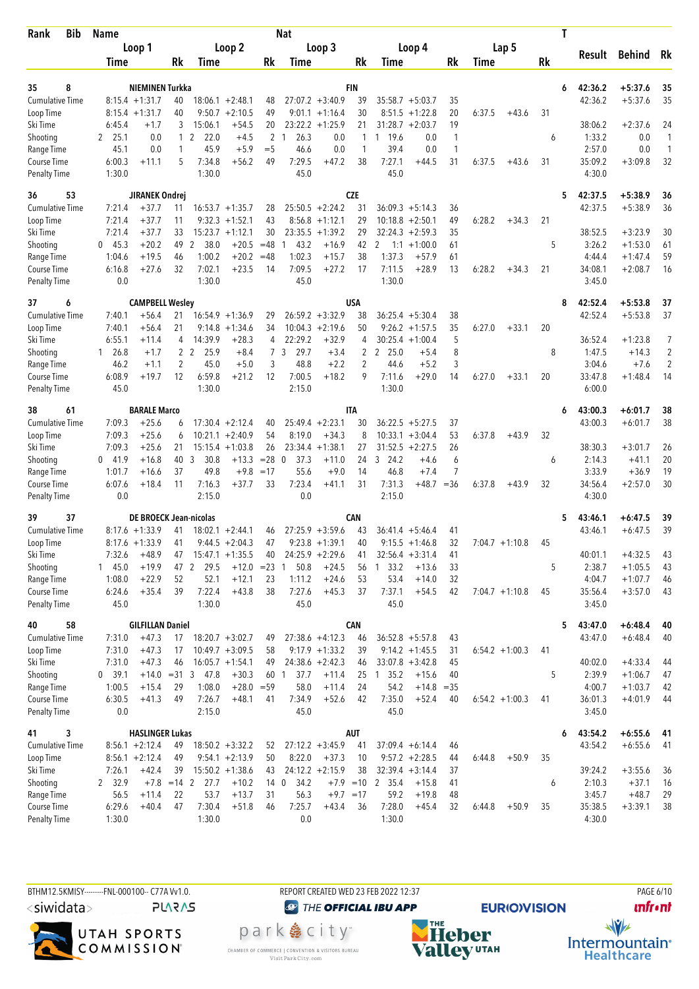| Bib<br>Rank               | <b>Name</b>     |                               |            |                           |                    |                         | Nat                  |                    |            |                              |                    |          |        |                  | T         |                  |                        |          |
|---------------------------|-----------------|-------------------------------|------------|---------------------------|--------------------|-------------------------|----------------------|--------------------|------------|------------------------------|--------------------|----------|--------|------------------|-----------|------------------|------------------------|----------|
|                           |                 | Loop 1                        |            |                           | Loop 2             |                         |                      | Loop 3             |            |                              | Loop 4             |          |        | Lap 5            |           |                  |                        |          |
|                           | Time            |                               | Rk         | Time                      |                    | Rk                      | <b>Time</b>          |                    | Rk         | Time                         |                    | Rk       | Time   |                  | <b>Rk</b> | Result           | <b>Behind</b>          | Rk       |
|                           |                 |                               |            |                           |                    |                         |                      |                    |            |                              |                    |          |        |                  |           |                  |                        |          |
| 35<br>8                   |                 | NIEMINEN Turkka               |            |                           |                    |                         |                      |                    | <b>FIN</b> |                              |                    |          |        |                  | 6         | 42:36.2          | $+5:37.6$              | 35       |
| <b>Cumulative Time</b>    |                 | $8:15.4 +1:31.7$              | 40         |                           | $18:06.1 + 2:48.1$ | 48                      |                      | $27:07.2 +3:40.9$  | 39         | $35:58.7 + 5:03.7$           |                    | 35       |        |                  |           | 42:36.2          | $+5:37.6$              | 35       |
| Loop Time                 |                 | $8:15.4 +1:31.7$              | 40         |                           | $9:50.7 + 2:10.5$  | 49                      |                      | $9:01.1 +1:16.4$   | 30         | 8:51.5                       | $+1:22.8$          | 20<br>19 | 6:37.5 | $+43.6$          | 31        |                  |                        |          |
| Ski Time                  | 6:45.4          | $+1.7$                        | 3          | 15:06.1                   | $+54.5$            | 20                      | $\mathbf{1}$         | $23:22.2 +1:25.9$  | 21         | $31:28.7 + 2:03.7$           |                    |          |        |                  |           | 38:06.2          | $+2:37.6$              | 24<br>1  |
| Shooting<br>Range Time    | 2, 25.1<br>45.1 | 0.0<br>0.0                    | 1          | $1\quad2$<br>22.0<br>45.9 | $+4.5$<br>$+5.9$   | $\overline{2}$<br>$=$ 5 | 26.3<br>46.6         | 0.0<br>0.0         | 1<br>1     | 1 19.6<br>39.4               | 0.0<br>0.0         | 1<br>1   |        |                  | 6         | 1:33.2<br>2:57.0 | 0.0<br>0.0             | 1        |
| Course Time               | 6:00.3          | $+11.1$                       | 5          | 7:34.8                    | $+56.2$            | 49                      | 7:29.5               | $+47.2$            | 38         | 7:27.1                       | $+44.5$            | 31       | 6:37.5 | $+43.6$          | 31        | 35:09.2          | $+3:09.8$              | 32       |
| <b>Penalty Time</b>       | 1:30.0          |                               |            | 1:30.0                    |                    |                         | 45.0                 |                    |            | 45.0                         |                    |          |        |                  |           | 4:30.0           |                        |          |
| 36<br>53                  |                 | JIRANEK Ondrej                |            |                           |                    |                         |                      |                    | <b>CZE</b> |                              |                    |          |        |                  | 5         | 42:37.5          | $+5:38.9$              | 36       |
| <b>Cumulative Time</b>    | 7:21.4          | $+37.7$                       | 11         |                           | $16:53.7 + 1:35.7$ | 28                      |                      | $25:50.5 + 2:24.2$ | 31         | $36:09.3 + 5:14.3$           |                    | 36       |        |                  |           | 42:37.5          | $+5:38.9$              | 36       |
| Loop Time                 | 7:21.4          | $+37.7$                       | 11         | 9:32.3                    | $+1:52.1$          | 43                      |                      | $8:56.8 +1:12.1$   | 29         | 10:18.8                      | $+2:50.1$          | 49       | 6:28.2 | $+34.3$          | 21        |                  |                        |          |
| Ski Time                  | 7:21.4          | $+37.7$                       | 33         |                           | $15:23.7 +1:12.1$  | 30                      | 23:35.5              | $+1:39.2$          | 29         | 32:24.3                      | $+2:59.3$          | 35       |        |                  |           | 38:52.5          | $+3:23.9$              | 30       |
| Shooting                  | 45.3<br>0       | $+20.2$                       | 49         | $\overline{2}$<br>38.0    | $+20.5$            | $=48$                   | 43.2<br>1            | $+16.9$            | 42         | 2<br>1:1                     | $+1:00.0$          | 61       |        |                  | 5         | 3:26.2           | $+1:53.0$              | 61       |
| Range Time                | 1:04.6          | $+19.5$                       | 46         | 1:00.2                    | $+20.2$            | $=48$                   | 1:02.3               | $+15.7$            | 38         | 1:37.3                       | $+57.9$            | 61       |        |                  |           | 4:44.4           | $+1:47.4$              | 59       |
| Course Time               | 6:16.8          | $+27.6$                       | 32         | 7:02.1                    | $+23.5$            | 14                      | 7:09.5               | $+27.2$            | 17         | 7:11.5                       | $+28.9$            | 13       | 6:28.2 | $+34.3$          | 21        | 34:08.1          | $+2:08.7$              | 16       |
| Penalty Time              | 0.0             |                               |            | 1:30.0                    |                    |                         | 45.0                 |                    |            | 1:30.0                       |                    |          |        |                  |           | 3:45.0           |                        |          |
| 37<br>6                   |                 | <b>CAMPBELL Wesley</b>        |            |                           |                    |                         |                      |                    | USA        |                              |                    |          |        |                  | 8         | 42:52.4          | $+5:53.8$              | 37       |
| <b>Cumulative Time</b>    | 7:40.1          | $+56.4$                       | 21         |                           | $16:54.9 + 1:36.9$ | 29                      |                      | $26:59.2 + 3:32.9$ | 38         | $36:25.4 + 5:30.4$           |                    | 38       |        |                  |           | 42:52.4          | $+5:53.8$              | 37       |
| Loop Time                 | 7:40.1          | $+56.4$                       | 21         | 9:14.8                    | $+1:34.6$          | 34                      |                      | $10:04.3 +2:19.6$  | 50         | $9:26.2 + 1:57.5$            |                    | 35       | 6:27.0 | $+33.1$          | 20        |                  |                        |          |
| Ski Time                  | 6:55.1          | $+11.4$                       | 4          | 14:39.9                   | $+28.3$            | 4                       | 22:29.2              | $+32.9$            | 4          | $30:25.4 + 1:00.4$           |                    | 5        |        |                  |           | 36:52.4          | $+1:23.8$              | 7        |
| Shooting                  | $1 \quad 26.8$  | $+1.7$                        |            | 2 <sub>2</sub><br>25.9    | $+8.4$             | $\overline{7}$          | 29.7<br>3            | $+3.4$             | 2          | 2 25.0                       | $+5.4$             | 8        |        |                  | 8         | 1:47.5           | $+14.3$                | 2        |
| Range Time                | 46.2            | $+1.1$                        | 2          | 45.0                      | $+5.0$             | 3                       | 48.8                 | $+2.2$             | 2          | 44.6                         | $+5.2$             | 3        |        |                  |           | 3:04.6           | $+7.6$                 | 2        |
| Course Time               | 6:08.9          | $+19.7$                       | 12         | 6:59.8                    | $+21.2$            | 12                      | 7:00.5               | $+18.2$            | 9          | 7:11.6                       | $+29.0$            | 14       | 6:27.0 | $+33.1$          | 20        | 33:47.8          | $+1:48.4$              | 14       |
| <b>Penalty Time</b>       | 45.0            |                               |            | 1:30.0                    |                    |                         | 2:15.0               |                    |            | 1:30.0                       |                    |          |        |                  |           | 6:00.0           |                        |          |
| 38<br>61                  |                 | <b>BARALE Marco</b>           |            |                           |                    |                         |                      |                    | <b>ITA</b> |                              |                    |          |        |                  | 6         | 43:00.3          | $+6:01.7$              | 38       |
| Cumulative Time           | 7:09.3          | $+25.6$                       | 6          |                           | $17:30.4 +2:12.4$  | 40                      |                      | $25:49.4 + 2:23.1$ | 30         | 36:22.5                      | $+5:27.5$          | 37       |        |                  |           | 43:00.3          | $+6:01.7$              | 38       |
| Loop Time                 | 7:09.3          | $+25.6$                       | 6          |                           | $10:21.1 + 2:40.9$ | 54                      | 8:19.0               | $+34.3$            | 8          | 10:33.1                      | $+3:04.4$          | 53       | 6:37.8 | $+43.9$          | 32        |                  |                        |          |
| Ski Time                  | 7:09.3          | $+25.6$                       | 21         |                           | $15:15.4 + 1:03.8$ | 26                      | 23:34.4              | $+1:38.1$          | 27         | $31:52.5 + 2:27.5$           |                    | 26       |        |                  |           | 38:30.3          | $+3:01.7$              | 26       |
| Shooting                  | $0$ 41.9        | $+16.8$                       | 40         | 3<br>30.8                 | $+13.3$            | $=28$                   | 37.3<br>$\mathbf{0}$ | $+11.0$            | 24         | 3, 24.2                      | +4.6               | 6        |        |                  | 6         | 2:14.3           | $+41.1$                | 20       |
| Range Time                | 1:01.7          | $+16.6$                       | 37         | 49.8                      | $+9.8$             | $=17$                   | 55.6                 | $+9.0$             | 14         | 46.8                         | $+7.4$             | 7        |        |                  |           | 3:33.9           | $+36.9$                | 19       |
| Course Time               | 6:07.6          | $+18.4$                       | 11         | 7:16.3                    | $+37.7$            | 33                      | 7:23.4               | $+41.1$            | 31         | 7:31.3                       | $+48.7$            | $= 36$   | 6:37.8 | $+43.9$          | 32        | 34:56.4          | $+2:57.0$              | 30       |
| <b>Penalty Time</b>       | 0.0             |                               |            | 2:15.0                    |                    |                         | 0.0                  |                    |            | 2:15.0                       |                    |          |        |                  |           | 4:30.0           |                        |          |
| 39<br>37                  |                 | <b>DE BROECK Jean-nicolas</b> |            |                           |                    |                         |                      |                    | <b>CAN</b> |                              |                    |          |        |                  | 5         | 43:46.1          | $+6:47.5$              | 39       |
| <b>Cumulative Time</b>    |                 | $8:17.6 + 1:33.9$             | 41         |                           | $18:02.1 + 2:44.1$ | 46                      |                      | $27:25.9 +3:59.6$  | 43         | $36:41.4 + 5:46.4$           |                    | 41       |        |                  |           | 43:46.1          | $+6:47.5$              | 39       |
| Loop Time                 |                 | $8:17.6 + 1:33.9$             | 41         |                           | $9:44.5 + 2:04.3$  | 47                      |                      | $9:23.8 +1:39.1$   | 40         | $9:15.5 + 1:46.8$            |                    | 32       |        | $7:04.7 +1:10.8$ | 45        |                  |                        |          |
| Ski Time                  | 7:32.6          | $+48.9$                       | 47         |                           | $15:47.1 + 1:35.5$ | 40                      |                      | $24:25.9 +2:29.6$  | 41         | $32:56.4 + 3:31.4$           |                    | 41       |        |                  |           | 40:01.1          | $+4:32.5$              | 43       |
| Shooting                  | 145.0<br>1:08.0 | $+19.9$                       | 47 2<br>52 | 29.5                      | $+12.0 = 23$       | 23                      | 50.8<br>-1<br>1:11.2 | $+24.5$<br>$+24.6$ | 56         | 33.2<br>$\mathbf{1}$<br>53.4 | $+13.6$<br>$+14.0$ | 33       |        |                  | 5         | 2:38.7<br>4:04.7 | $+1:05.5$              | 43       |
| Range Time<br>Course Time | 6:24.6          | $+22.9$<br>$+35.4$            | 39         | 52.1<br>7:22.4            | $+12.1$<br>$+43.8$ | 38                      | 7:27.6               | $+45.3$            | 53<br>37   | 7:37.1                       | $+54.5$            | 32<br>42 |        | $7:04.7 +1:10.8$ | 45        | 35:56.4          | $+1:07.7$<br>$+3:57.0$ | 46<br>43 |
| Penalty Time              | 45.0            |                               |            | 1:30.0                    |                    |                         | 45.0                 |                    |            | 45.0                         |                    |          |        |                  |           | 3:45.0           |                        |          |
| 58<br>40                  |                 | <b>GILFILLAN Daniel</b>       |            |                           |                    |                         |                      |                    | <b>CAN</b> |                              |                    |          |        |                  | 5         | 43:47.0          | $+6:48.4$              | 40       |
| <b>Cumulative Time</b>    | 7:31.0          | $+47.3$                       | 17         |                           | $18:20.7 + 3:02.7$ | 49                      |                      | $27:38.6 +4:12.3$  | 46         | $36:52.8 + 5:57.8$           |                    | 43       |        |                  |           | 43:47.0          | $+6:48.4$              | 40       |
| Loop Time                 | 7:31.0          | $+47.3$                       | 17         |                           | $10:49.7 + 3:09.5$ | 58                      |                      | $9:17.9 +1:33.2$   | 39         | $9:14.2 + 1:45.5$            |                    | 31       |        | $6:54.2 +1:00.3$ | 41        |                  |                        |          |
| Ski Time                  | 7:31.0          | $+47.3$                       | 46         |                           | $16:05.7 + 1:54.1$ | 49                      |                      | $24:38.6 +2:42.3$  | 46         | $33:07.8 + 3:42.8$           |                    | 45       |        |                  |           | 40:02.0          | $+4:33.4$              | 44       |
| Shooting                  | 0, 39.1         |                               |            | $+14.0 = 31 \ 3 \ 47.8$   | $+30.3$            |                         | 60 1<br>37.7         | $+11.4$            |            | 25 1 35.2                    | $+15.6$            | 40       |        |                  | 5         | 2:39.9           | $+1:06.7$              | 47       |
| Range Time                | 1:00.5          | $+15.4$                       | 29         | 1:08.0                    | $+28.0 = 59$       |                         | 58.0                 | $+11.4$            | 24         | 54.2                         | $+14.8$            | $=35$    |        |                  |           | 4:00.7           | $+1:03.7$              | 42       |
| Course Time               | 6:30.5          | $+41.3$                       | 49         | 7:26.7                    | $+48.1$            | 41                      | 7:34.9               | $+52.6$            | 42         | 7:35.0                       | $+52.4$            | 40       |        | $6:54.2 +1:00.3$ | 41        | 36:01.3          | $+4:01.9$              | 44       |
| Penalty Time              | 0.0             |                               |            | 2:15.0                    |                    |                         | 45.0                 |                    |            | 45.0                         |                    |          |        |                  |           | 3:45.0           |                        |          |
| 3<br>41                   |                 | <b>HASLINGER Lukas</b>        |            |                           |                    |                         |                      |                    | AUT        |                              |                    |          |        |                  | 6         | 43:54.2          | $+6:55.6$              | 41       |
| <b>Cumulative Time</b>    |                 | $8:56.1 + 2:12.4$             | 49         |                           | $18:50.2 + 3:32.2$ | 52                      |                      | $27:12.2 + 3:45.9$ | 41         | $37:09.4 + 6:14.4$           |                    | 46       |        |                  |           | 43:54.2          | $+6:55.6$              | 41       |
| Loop Time                 |                 | $8:56.1 + 2:12.4$             | 49         |                           | $9:54.1 + 2:13.9$  | 50                      | 8:22.0               | $+37.3$            | 10         | $9:57.2 + 2:28.5$            |                    | 44       | 6:44.8 | $+50.9$          | 35        |                  |                        |          |
| Ski Time                  | 7:26.1          | $+42.4$                       | 39         |                           | $15:50.2 +1:38.6$  | 43                      |                      | $24:12.2 +2:15.9$  | 38         | $32:39.4 + 3:14.4$           |                    | 37       |        |                  |           | 39:24.2          | $+3:55.6$              | 36       |
| Shooting                  | 2 32.9          | $+7.8$ = 14 2                 |            | 27.7                      | $+10.2$            |                         | 34.2<br>14 0         |                    |            | $+7.9$ = 10 2 35.4           | $+15.8$            | 41       |        |                  | 6         | 2:10.3           | $+37.1$                | 16       |
| Range Time                | 56.5            | $+11.4$                       | 22         | 53.7                      | $+13.7$            | 31                      | 56.3                 | $+9.7 = 17$        |            | 59.2                         | $+19.8$            | 48       |        |                  |           | 3:45.7           | $+48.7$                | 29       |
| Course Time               | 6:29.6          | $+40.4$                       | 47         | 7:30.4                    | $+51.8$            | 46                      | 7:25.7               | $+43.4$            | 36         | 7:28.0                       | $+45.4$            | 32       | 6:44.8 | $+50.9$          | 35        | 35:38.5          | $+3:39.1$              | 38       |
| <b>Penalty Time</b>       | 1:30.0          |                               |            | 1:30.0                    |                    |                         | 0.0                  |                    |            | 1:30.0                       |                    |          |        |                  |           | 4:30.0           |                        |          |

BTHM12.5KMISY--------FNL-000100-- C77A W1.0. REPORT CREATED WED 23 FEB 2022 12:37 PAGE 6/10 <siwidata> **PLARAS** 



park e city<sup>®</sup>

CHAMBER OF COMMERCE | CONVENTION & VISITORS BUREAU<br>Visit Park City.com

**O THE OFFICIAL IBU APP** 

**NHE**<br>Valley<sup>utAH</sup>

**EURIO)VISION** 

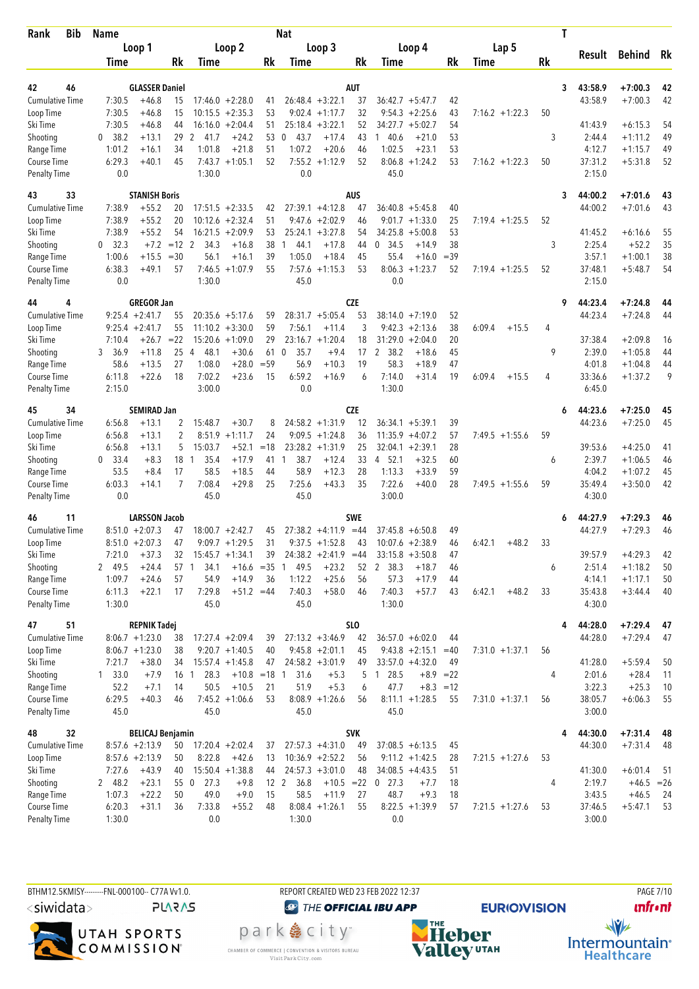| Rank                         | <b>Bib</b> | <b>Name</b>      |                                  |          |                        |                         |          | Nat                  |                        |                  |                                      |             |                   | T         |                    |                        |          |
|------------------------------|------------|------------------|----------------------------------|----------|------------------------|-------------------------|----------|----------------------|------------------------|------------------|--------------------------------------|-------------|-------------------|-----------|--------------------|------------------------|----------|
|                              |            |                  | Loop 1                           |          |                        | Loop 2                  |          |                      | Loop 3                 |                  | Loop 4                               |             | Lap 5             |           | Result             |                        |          |
|                              |            | Time             |                                  | Rk       | Time                   |                         | Rk       | Time                 |                        | Rk               | Time                                 | Rk          | Time              | <b>Rk</b> |                    | <b>Behind</b>          | Rk       |
|                              |            |                  |                                  |          |                        |                         |          |                      |                        |                  |                                      |             |                   |           |                    |                        |          |
| 42<br><b>Cumulative Time</b> | 46         | 7:30.5           | <b>GLASSER Daniel</b><br>$+46.8$ | 15       |                        | $17:46.0 + 2:28.0$      |          |                      | $26:48.4 + 3:22.1$     | <b>AUT</b><br>37 | $36:42.7 + 5:47.7$                   | 42          |                   | 3         | 43:58.9<br>43:58.9 | $+7:00.3$<br>$+7:00.3$ | 42<br>42 |
| Loop Time                    |            | 7:30.5           | $+46.8$                          | 15       |                        | $10:15.5 + 2:35.3$      | 41<br>53 |                      | $9:02.4 +1:17.7$       | 32               | 9:54.3<br>$+2:25.6$                  | 43          | $7:16.2 + 1:22.3$ | 50        |                    |                        |          |
| Ski Time                     |            | 7:30.5           | $+46.8$                          | 44       |                        | $16:16.0 + 2:04.4$      | 51       |                      | $25:18.4 + 3:22.1$     | 52               | 34:27.7<br>$+5:02.7$                 | 54          |                   |           | 41:43.9            | $+6:15.3$              | 54       |
| Shooting                     |            | 0, 38.2          | $+13.1$                          | 29       | 2<br>41.7              | $+24.2$                 | 53       | 43.7<br>0            | $+17.4$                | 43               | 140.6<br>$+21.0$                     | 53          |                   | 3         | 2:44.4             | $+1:11.2$              | 49       |
| Range Time                   |            | 1:01.2           | $+16.1$                          | 34       | 1:01.8                 | $+21.8$                 | 51       | 1:07.2               | $+20.6$                | 46               | 1:02.5<br>$+23.1$                    | 53          |                   |           | 4:12.7             | $+1:15.7$              | 49       |
| Course Time                  |            | 6:29.3           | $+40.1$                          | 45       |                        | $7:43.7 +1:05.1$        | 52       |                      | $7:55.2 +1:12.9$       | 52               | $8:06.8 + 1:24.2$                    | 53          | $7:16.2 + 1:22.3$ | 50        | 37:31.2            | $+5:31.8$              | 52       |
| Penalty Time                 |            | 0.0              |                                  |          | 1:30.0                 |                         |          | 0.0                  |                        |                  | 45.0                                 |             |                   |           | 2:15.0             |                        |          |
| 43                           | 33         |                  | <b>STANISH Boris</b>             |          |                        |                         |          |                      |                        | <b>AUS</b>       |                                      |             |                   | 3         | 44:00.2            | $+7:01.6$              | 43       |
| <b>Cumulative Time</b>       |            | 7:38.9           | $+55.2$                          | 20       |                        | $17:51.5 + 2:33.5$      | 42       |                      | $27:39.1 + 4:12.8$     | 47               | $36:40.8$ +5:45.8                    | 40          |                   |           | 44:00.2            | $+7:01.6$              | 43       |
| Loop Time                    |            | 7:38.9           | $+55.2$                          | 20       | 10:12.6                | $+2:32.4$               | 51       |                      | $9:47.6 + 2:02.9$      | 46               | $9:01.7 +1:33.0$                     | 25          | $7:19.4 +1:25.5$  | 52        |                    |                        |          |
| Ski Time                     |            | 7:38.9           | $+55.2$                          | 54       |                        | $16:21.5 + 2:09.9$      | 53       |                      | $25:24.1 + 3:27.8$     | 54               | 34:25.8<br>$+5:00.8$                 | 53          |                   |           | 41:45.2            | $+6:16.6$              | 55       |
| Shooting                     |            | 0, 32.3          | $+7.2$                           | $=12$ 2  | 34.3                   | $+16.8$                 | 38       | 44.1<br>1            | $+17.8$                | 44               | 0, 34.5<br>$+14.9$                   | 38          |                   | 3         | 2:25.4             | $+52.2$                | 35       |
| Range Time                   |            | 1:00.6           | $+15.5$                          | $=30$    | 56.1                   | $+16.1$                 | 39       | 1:05.0               | $+18.4$                | 45               | 55.4<br>$+16.0$                      | $=39$       |                   |           | 3:57.1             | $+1:00.1$              | 38       |
| Course Time                  |            | 6:38.3           | $+49.1$                          | 57       |                        | $7:46.5 +1:07.9$        | 55       | 7:57.6               | $+1:15.3$              | 53               | 8:06.3<br>$+1:23.7$                  | 52          | $7:19.4 +1:25.5$  | 52        | 37:48.1            | $+5:48.7$              | 54       |
| <b>Penalty Time</b>          |            | 0.0              |                                  |          | 1:30.0                 |                         |          | 45.0                 |                        |                  | 0.0                                  |             |                   |           | 2:15.0             |                        |          |
| 44                           | 4          |                  | <b>GREGOR Jan</b>                |          |                        |                         |          |                      |                        | <b>CZE</b>       |                                      |             |                   | 9         | 44:23.4            | $+7:24.8$              | 44       |
| <b>Cumulative Time</b>       |            |                  | $9:25.4 +2:41.7$                 | 55       |                        | $20:35.6 + 5:17.6$      | 59       |                      | $28:31.7 + 5:05.4$     | 53               | $38:14.0 + 7:19.0$                   | 52          |                   |           | 44:23.4            | $+7:24.8$              | 44       |
| Loop Time                    |            |                  | $9:25.4 +2:41.7$                 | 55       |                        | $11:10.2 + 3:30.0$      | 59       | 7:56.1               | $+11.4$                | 3                | $9:42.3 +2:13.6$                     | 38          | 6:09.4<br>$+15.5$ | 4         |                    |                        |          |
| Ski Time                     |            | 7:10.4           | $+26.7$                          | $= 22$   |                        | $15:20.6 + 1:09.0$      | 29       |                      | $23:16.7 + 1:20.4$     | 18               | 31:29.0<br>$+2:04.0$                 | 20          |                   |           | 37:38.4            | $+2:09.8$              | 16       |
| Shooting                     |            | 36.9<br>3        | $+11.8$                          | 25       | 48.1<br>$\overline{4}$ | $+30.6$                 | 61 0     | 35.7                 | $+9.4$                 | 17               | $\mathbf{2}$<br>38.2<br>$+18.6$      | 45          |                   | 9         | 2:39.0             | $+1:05.8$              | 44       |
| Range Time                   |            | 58.6             | $+13.5$                          | 27       | 1:08.0                 | $+28.0$                 | $= 59$   | 56.9                 | $+10.3$                | 19               | 58.3<br>$+18.9$                      | 47          |                   |           | 4:01.8             | $+1:04.8$              | 44       |
| Course Time                  |            | 6:11.8           | $+22.6$                          | 18       | 7:02.2                 | $+23.6$                 | 15       | 6:59.2               | $+16.9$                | 6                | 7:14.0<br>$+31.4$                    | 19          | 6:09.4<br>$+15.5$ | 4         | 33:36.6            | $+1:37.2$              | 9        |
| <b>Penalty Time</b>          |            | 2:15.0           |                                  |          | 3:00.0                 |                         |          | 0.0                  |                        |                  | 1:30.0                               |             |                   |           | 6:45.0             |                        |          |
| 45                           | 34         |                  | <b>SEMIRAD Jan</b>               |          |                        |                         |          |                      |                        | <b>CZE</b>       |                                      |             |                   | 6         | 44:23.6            | $+7:25.0$              | 45       |
| <b>Cumulative Time</b>       |            | 6:56.8           | $+13.1$                          | 2        | 15:48.7                | $+30.7$                 | 8        |                      | $24:58.2 +1:31.9$      | 12               | $36:34.1 + 5:39.1$                   | 39          |                   |           | 44:23.6            | $+7:25.0$              | 45       |
| Loop Time                    |            | 6:56.8           | $+13.1$                          | 2        | 8:51.9                 | $+1:11.7$               | 24       |                      | $9:09.5 +1:24.8$       | 36               | 11:35.9<br>$+4:07.2$                 | 57          | $7:49.5 +1:55.6$  | 59        |                    |                        |          |
| Ski Time                     |            | 6:56.8           | $+13.1$                          | 5        | 15:03.7                | $+52.1$                 | $=18$    |                      | $23:28.2 +1:31.9$      | 25               | $32:04.1 + 2:39.1$                   | 28          |                   |           | 39:53.6            | $+4:25.0$              | 41       |
| Shooting                     |            | $0$ 33.4         | $+8.3$                           | 18       | 35.4<br>1              | $+17.9$                 | 41       | 38.7<br>$\mathbf{1}$ | $+12.4$                | 33               | 4 52.1<br>$+32.5$                    | 60          |                   | 6         | 2:39.7             | $+1:06.5$              | 46       |
| Range Time                   |            | 53.5             | $+8.4$                           | 17       | 58.5                   | $+18.5$                 | 44       | 58.9                 | $+12.3$                | 28               | 1:13.3<br>$+33.9$                    | 59          |                   |           | 4:04.2             | $+1:07.2$              | 45       |
| Course Time                  |            | 6:03.3           | $+14.1$                          | 7        | 7:08.4                 | $+29.8$                 | 25       | 7:25.6               | $+43.3$                | 35               | 7:22.6<br>$+40.0$                    | 28          | $7:49.5 +1:55.6$  | 59        | 35:49.4            | $+3:50.0$              | 42       |
| <b>Penalty Time</b>          |            | 0.0              |                                  |          | 45.0                   |                         |          | 45.0                 |                        |                  | 3:00.0                               |             |                   |           | 4:30.0             |                        |          |
| 46                           | 11         |                  | <b>LARSSON Jacob</b>             |          |                        |                         |          |                      |                        | <b>SWE</b>       |                                      |             |                   | 6         | 44:27.9            | $+7:29.3$              | 46       |
| <b>Cumulative Time</b>       |            |                  | $8:51.0 + 2:07.3$                | 47       |                        | $18:00.7 + 2:42.7$      | 45       |                      | $27:38.2 +4:11.9$      | $=44$            | $37:45.8 + 6:50.8$                   | 49          |                   |           | 44:27.9            | $+7:29.3$              | 46       |
| Loop Time                    |            |                  | $8:51.0 + 2:07.3$                | 47       |                        | $9:09.7 +1:29.5$        | 31       |                      | $9:37.5 +1:52.8$       | 43               | $10:07.6 + 2:38.9$                   | 46          | 6:42.1<br>$+48.2$ | 33        |                    |                        |          |
| Ski Time                     |            | 7:21.0           | $+37.3$                          | 32       |                        | $15:45.7 + 1:34.1$      | 39       |                      | $24:38.2 +2:41.9 = 44$ |                  | $33:15.8 + 3:50.8$                   | 47          |                   |           | 39:57.9            | $+4:29.3$              | 42       |
| Shooting                     |            | 2 49.5           | $+24.4$                          |          | 34.1<br>57 1           | $+16.6 = 35$ 1          |          | 49.5                 | $+23.2$                | 52               | 2 38.3<br>$+18.7$                    | 46          |                   | 6         | 2:51.4             | $+1:18.2$              | 50       |
| Range Time<br>Course Time    |            | 1:09.7           | $+24.6$<br>$+22.1$               | 57<br>17 | 54.9<br>7:29.8         | $+14.9$<br>$+51.2 = 44$ | 36       | 1:12.2<br>7:40.3     | $+25.6$<br>$+58.0$     | 56<br>46         | 57.3<br>$+17.9$<br>7:40.3<br>$+57.7$ | 44          | 6:42.1            | 33        | 4:14.1<br>35:43.8  | $+1:17.1$<br>$+3:44.4$ | 50<br>40 |
| <b>Penalty Time</b>          |            | 6:11.3<br>1:30.0 |                                  |          | 45.0                   |                         |          | 45.0                 |                        |                  | 1:30.0                               | 43          | $+48.2$           |           | 4:30.0             |                        |          |
| 47                           | 51         |                  | <b>REPNIK Tadej</b>              |          |                        |                         |          |                      |                        | <b>SLO</b>       |                                      |             |                   |           | 44:28.0            | $+7:29.4$              | 47       |
| <b>Cumulative Time</b>       |            |                  | $8:06.7 +1:23.0$                 | 38       |                        | $17:27.4 + 2:09.4$      | 39       |                      | $27:13.2 +3:46.9$      | 42               | $36:57.0 + 6:02.0$                   | 44          |                   |           | 44:28.0            | $+7:29.4$              | 47       |
| Loop Time                    |            |                  | $8:06.7 +1:23.0$                 | 38       |                        | $9:20.7 +1:40.5$        | 40       |                      | $9:45.8 + 2:01.1$      | 45               | $9:43.8 + 2:15.1$                    | $=40$       | $7:31.0 + 1:37.1$ | 56        |                    |                        |          |
| Ski Time                     |            | 7:21.7           | $+38.0$                          | 34       |                        | $15:57.4 + 1:45.8$      | 47       |                      | $24:58.2 +3:01.9$      | 49               | $33:57.0 +4:32.0$                    | 49          |                   |           | 41:28.0            | $+5:59.4$              | 50       |
| Shooting                     |            | 1 33.0           | $+7.9$                           | 16 1     | 28.3                   | $+10.8 = 18$ 1          |          | 31.6                 | $+5.3$                 | 5                | 1 28.5                               | $+8.9 = 22$ |                   | 4         | 2:01.6             | $+28.4$                | 11       |
| Range Time                   |            | 52.2             | $+7.1$                           | 14       | 50.5                   | $+10.5$                 | 21       | 51.9                 | $+5.3$                 | 6                | 47.7                                 | $+8.3 = 12$ |                   |           | 3:22.3             | $+25.3$                | 10       |
| Course Time                  |            | 6:29.5           | $+40.3$                          | 46       |                        | $7:45.2 +1:06.6$        | 53       |                      | $8:08.9 +1:26.6$       | 56               | $8:11.1 + 1:28.5$                    | 55          | $7:31.0 + 1:37.1$ | 56        | 38:05.7            | $+6:06.3$              | 55       |
| <b>Penalty Time</b>          |            | 45.0             |                                  |          | 45.0                   |                         |          | 45.0                 |                        |                  | 45.0                                 |             |                   |           | 3:00.0             |                        |          |
| 48                           | 32         |                  | <b>BELICAJ Benjamin</b>          |          |                        |                         |          |                      |                        | <b>SVK</b>       |                                      |             |                   | 4         | 44:30.0            | $+7:31.4$              | 48       |
| <b>Cumulative Time</b>       |            |                  | $8:57.6 +2:13.9$                 | 50       |                        | $17:20.4 + 2:02.4$      | 37       |                      | $27:57.3 +4:31.0$      | 49               | $37:08.5 + 6:13.5$                   | 45          |                   |           | 44:30.0            | $+7:31.4$              | 48       |
| Loop Time                    |            |                  | $8:57.6 +2:13.9$                 | 50       | 8:22.8                 | $+42.6$                 | 13       |                      | $10:36.9 + 2:52.2$     | 56               | $9:11.2 + 1:42.5$                    | 28          | $7:21.5 +1:27.6$  | 53        |                    |                        |          |
| Ski Time                     |            | 7:27.6           | $+43.9$                          | 40       |                        | $15:50.4 +1:38.8$       | 44       |                      | $24:57.3 +3:01.0$      | 48               | $34:08.5 +4:43.5$                    | 51          |                   |           | 41:30.0            | $+6:01.4$              | 51       |
| Shooting                     |            | 2 48.2           | $+23.1$                          |          | 55 0 27.3              | $+9.8$                  |          | 36.8<br>12 2         | $+10.5 = 22$           |                  | $0$ 27.3<br>$+7.7$                   | 18          |                   | 4         | 2:19.7             | $+46.5 = 26$           |          |
| Range Time                   |            | 1:07.3           | $+22.2$                          | 50       | 49.0                   | $+9.0$                  | 15       | 58.5                 | $+11.9$                | 27               | 48.7<br>$+9.3$                       | 18          |                   |           | 3:43.5             | $+46.5$                | -24      |
| Course Time                  |            | 6:20.3           | $+31.1$                          | 36       | 7:33.8                 | $+55.2$                 | 48       |                      | $8:08.4 +1:26.1$       | 55               | $8:22.5 +1:39.9$                     | 57          | $7:21.5 +1:27.6$  | 53        | 37:46.5            | $+5:47.1$              | 53       |
| <b>Penalty Time</b>          |            | 1:30.0           |                                  |          | 0.0                    |                         |          | 1:30.0               |                        |                  | 0.0                                  |             |                   |           | 3:00.0             |                        |          |

BTHM12.5KMISY--------FNL-000100-- C77A W1.0. REPORT CREATED WED 23 FEB 2022 12:37 PAGE 7/10 <siwidata> **PLARAS** 



CHAMBER OF COMMERCE | CONVENTION & VISITORS BUREAU<br>Visit Park City.com

**O THE OFFICIAL IBU APP** park e city<sup>®</sup>

**EURIO)VISION** 

**unfront** 



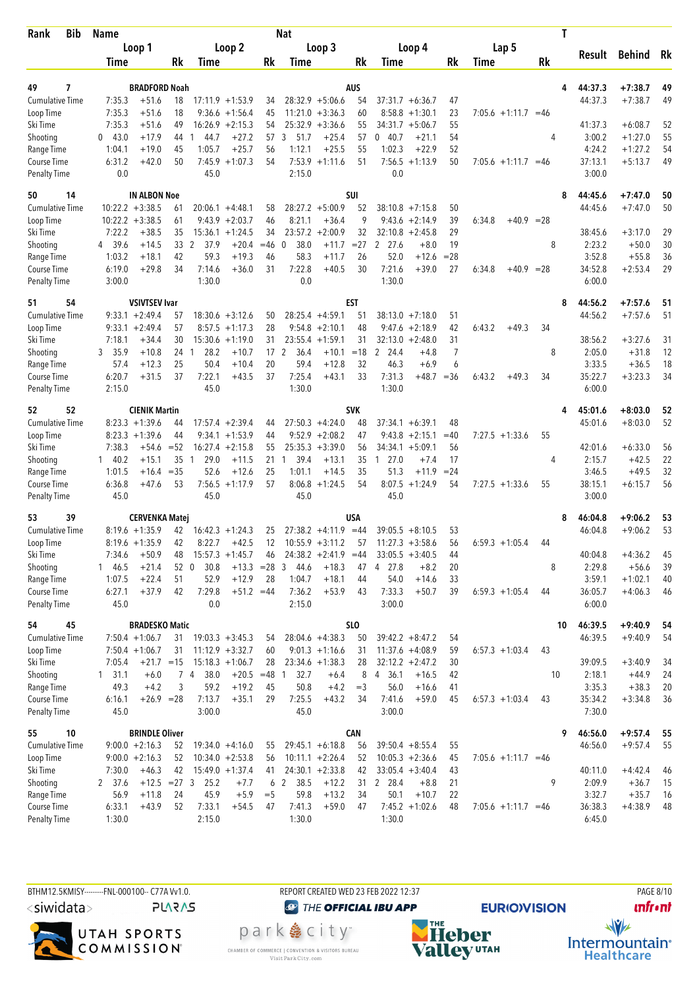| <b>Bib</b><br>Rank     | <b>Name</b>      |                       |            |                |                                         |                 | Nat                  |                                         |            |                                           |              |                        | T         |                   |                      |          |
|------------------------|------------------|-----------------------|------------|----------------|-----------------------------------------|-----------------|----------------------|-----------------------------------------|------------|-------------------------------------------|--------------|------------------------|-----------|-------------------|----------------------|----------|
|                        |                  | Loop 1                |            |                | Loop 2                                  |                 |                      | Loop 3                                  |            | Loop 4                                    |              | Lap 5                  |           |                   |                      |          |
|                        | Time             |                       | Rk         | Time           |                                         | Rk              | Time                 |                                         | Rk         | Time                                      | Rk           | Time                   | <b>Rk</b> | Result            | <b>Behind</b>        | Rk       |
|                        |                  |                       |            |                |                                         |                 |                      |                                         |            |                                           |              |                        |           |                   |                      |          |
| 7<br>49                |                  | <b>BRADFORD Noah</b>  |            |                |                                         |                 |                      |                                         | <b>AUS</b> |                                           |              |                        | 4         | 44:37.3           | $+7:38.7$            | 49       |
| <b>Cumulative Time</b> | 7:35.3           | $+51.6$<br>$+51.6$    | 18<br>18   |                | $17:11.9 + 1:53.9$                      | 34<br>45        |                      | $28:32.9 + 5:06.6$                      | 54<br>60   | $37:31.7 + 6:36.7$                        | 47           |                        |           | 44:37.3           | $+7:38.7$            | 49       |
| Loop Time<br>Ski Time  | 7:35.3<br>7:35.3 | $+51.6$               | 49         |                | $9:36.6 + 1:56.4$<br>$16:26.9 + 2:15.3$ | 54              |                      | $11:21.0 +3:36.3$<br>$25:32.9 + 3:36.6$ | 55         | $8:58.8 + 1:30.1$<br>34:31.7<br>$+5:06.7$ | 23<br>55     | $7:05.6 +1:11.7 = 46$  |           | 41:37.3           | $+6:08.7$            | 52       |
| Shooting               | 043.0            | $+17.9$               | 44         | 44.7<br>-1     | $+27.2$                                 | 57              | 51.7<br>3            | $+25.4$                                 | 57         | 0.40.7<br>$+21.1$                         | 54           |                        | 4         | 3:00.2            | $+1:27.0$            | 55       |
| Range Time             | 1:04.1           | $+19.0$               | 45         | 1:05.7         | $+25.7$                                 | 56              | 1:12.1               | $+25.5$                                 | 55         | 1:02.3<br>$+22.9$                         | 52           |                        |           | 4:24.2            | $+1:27.2$            | 54       |
| Course Time            | 6:31.2           | $+42.0$               | 50         | 7:45.9         | $+1:07.3$                               | 54              |                      | $7:53.9 +1:11.6$                        | 51         | $7:56.5 +1:13.9$                          | 50           | $7:05.6 +1:11.7 = 46$  |           | 37:13.1           | $+5:13.7$            | 49       |
| <b>Penalty Time</b>    | 0.0              |                       |            | 45.0           |                                         |                 | 2:15.0               |                                         |            | 0.0                                       |              |                        |           | 3:00.0            |                      |          |
| 50<br>14               |                  | <b>IN ALBON Noe</b>   |            |                |                                         |                 |                      |                                         | SUI        |                                           |              |                        | 8         | 44:45.6           | $+7:47.0$            | 50       |
| <b>Cumulative Time</b> |                  | $10:22.2 + 3:38.5$    | 61         |                | $20:06.1 + 4:48.1$                      | 58              |                      | $28:27.2 + 5:00.9$                      | 52         | $38:10.8 + 7:15.8$                        | 50           |                        |           | 44:45.6           | $+7:47.0$            | 50       |
| Loop Time              |                  | $10:22.2 + 3:38.5$    | 61         |                | $9:43.9 +2:03.7$                        | 46              | 8:21.1               | $+36.4$                                 | 9          | 9:43.6<br>$+2:14.9$                       | 39           | $+40.9 = 28$<br>6:34.8 |           |                   |                      |          |
| Ski Time               | 7:22.2           | $+38.5$               | 35         |                | $15:36.1 + 1:24.5$                      | 34              | 23:57.2              | $+2:00.9$                               | 32         | $32:10.8 + 2:45.8$                        | 29           |                        |           | 38:45.6           | $+3:17.0$            | 29       |
| Shooting               | 4 39.6           | $+14.5$               | 33 2       | 37.9           | $+20.4$                                 | $=46$           | 38.0<br>$\mathbf{0}$ | $+11.7$                                 | $= 27$     | $\overline{2}$<br>27.6<br>$+8.0$          | 19           |                        | 8         | 2:23.2            | $+50.0$              | 30       |
| Range Time             | 1:03.2           | $+18.1$               | 42         | 59.3           | $+19.3$                                 | 46              | 58.3                 | $+11.7$                                 | 26         | 52.0<br>$+12.6$                           | $= 28$       |                        |           | 3:52.8            | $+55.8$              | 36       |
| Course Time            | 6:19.0           | $+29.8$               | 34         | 7:14.6         | $+36.0$                                 | 31              | 7:22.8               | $+40.5$                                 | 30         | 7:21.6<br>$+39.0$                         | 27           | $+40.9$<br>6:34.8      | $= 28$    | 34:52.8           | $+2:53.4$            | 29       |
| <b>Penalty Time</b>    | 3:00.0           |                       |            | 1:30.0         |                                         |                 | 0.0                  |                                         |            | 1:30.0                                    |              |                        |           | 6:00.0            |                      |          |
| 54<br>51               |                  | <b>VSIVTSEV Ivar</b>  |            |                |                                         |                 |                      |                                         | EST        |                                           |              |                        | 8         | 44:56.2           | $+7:57.6$            | 51       |
| <b>Cumulative Time</b> |                  | $9:33.1 + 2:49.4$     | 57         |                | $18:30.6 + 3:12.6$                      | 50              |                      | $28:25.4 +4:59.1$                       | 51         | $38:13.0 + 7:18.0$                        | 51           |                        |           | 44:56.2           | $+7:57.6$            | 51       |
| Loop Time              |                  | $9:33.1 + 2:49.4$     | 57         |                | $8:57.5 +1:17.3$                        | 28              |                      | $9:54.8 + 2:10.1$                       | 48         | $9:47.6 + 2:18.9$                         | 42           | 6:43.2<br>$+49.3$      | 34        |                   |                      |          |
| Ski Time               | 7:18.1           | $+34.4$               | 30         |                | $15:30.6 +1:19.0$                       | 31              |                      | $23:55.4 +1:59.1$                       | 31         | $32:13.0 + 2:48.0$                        | 31           |                        |           | 38:56.2           | $+3:27.6$            | 31       |
| Shooting               | 35.9<br>3        | $+10.8$               | 24 1       | 28.2           | $+10.7$                                 | 17 <sup>2</sup> | 36.4                 | $+10.1$                                 | $=18$      | 2<br>24.4<br>$+4.8$                       | 7            |                        | 8         | 2:05.0            | $+31.8$              | 12       |
| Range Time             | 57.4             | $+12.3$               | 25         | 50.4           | $+10.4$                                 | 20              | 59.4                 | $+12.8$                                 | 32         | 46.3<br>$+6.9$                            | 6            |                        |           | 3:33.5            | $+36.5$              | 18       |
| Course Time            | 6:20.7<br>2:15.0 | $+31.5$               | 37         | 7:22.1<br>45.0 | $+43.5$                                 | 37              | 7:25.4<br>1:30.0     | $+43.1$                                 | 33         | 7:31.3<br>1:30.0                          | $+48.7 = 36$ | 6:43.2<br>$+49.3$      | 34        | 35:22.7<br>6:00.0 | $+3:23.3$            | 34       |
| <b>Penalty Time</b>    |                  |                       |            |                |                                         |                 |                      |                                         |            |                                           |              |                        |           |                   |                      |          |
| 52<br>52               |                  | <b>CIENIK Martin</b>  |            |                |                                         |                 |                      |                                         | <b>SVK</b> |                                           |              |                        | 4         | 45:01.6           | $+8:03.0$            | 52       |
| <b>Cumulative Time</b> |                  | $8:23.3 +1:39.6$      | 44         |                | $17:57.4 +2:39.4$                       | 44              |                      | $27:50.3 +4:24.0$                       | 48         | $37:34.1 + 6:39.1$                        | 48           |                        |           | 45:01.6           | $+8:03.0$            | 52       |
| Loop Time              |                  | $8:23.3 +1:39.6$      | 44         |                | $9:34.1 + 1:53.9$                       | 44              |                      | $9:52.9 + 2:08.2$                       | 47         | 9:43.8<br>$+2:15.1$                       | $=40$        | $7:27.5 +1:33.6$       | 55        |                   |                      |          |
| Ski Time               | 7:38.3           | $+54.6$               | $= 52$     |                | $16:27.4 + 2:15.8$                      | 55              |                      | $25:35.3 + 3:39.0$                      | 56         | $34:34.1 + 5:09.1$                        | 56           |                        |           | 42:01.6           | $+6:33.0$            | 56       |
| Shooting               | $1 \quad 40.2$   | $+15.1$               | 35         | 29.0<br>1      | $+11.5$                                 | 21              | 39.4<br>1            | $+13.1$                                 | 35         | $1 \t27.0$<br>$+7.4$                      | 17           |                        | 4         | 2:15.7            | $+42.5$              | 22       |
| Range Time             | 1:01.5           | $+16.4$               | $= 35$     | 52.6           | $+12.6$                                 | 25              | 1:01.1               | $+14.5$                                 | 35         | 51.3<br>$+11.9$                           | $= 24$       |                        |           | 3:46.5            | $+49.5$              | 32       |
| Course Time            | 6:36.8           | $+47.6$               | 53         | 7:56.5         | $+1:17.9$                               | 57              | 8:06.8               | $+1:24.5$                               | 54         | 8:07.5<br>$+1:24.9$                       | 54           | $7:27.5 +1:33.6$       | 55        | 38:15.1           | $+6:15.7$            | 56       |
| <b>Penalty Time</b>    | 45.0             |                       |            | 45.0           |                                         |                 | 45.0                 |                                         |            | 45.0                                      |              |                        |           | 3:00.0            |                      |          |
| 39<br>53               |                  | <b>CERVENKA Matej</b> |            |                |                                         |                 |                      |                                         | USA        |                                           |              |                        | 8         | 46:04.8           | $+9:06.2$            | 53       |
| <b>Cumulative Time</b> |                  | $8:19.6 + 1:35.9$     | 42         |                | $16:42.3 + 1:24.3$                      | 25              |                      | $27:38.2 +4:11.9$                       | $=44$      | 39:05.5<br>$+8:10.5$                      | 53           |                        |           | 46:04.8           | $+9:06.2$            | 53       |
| Loop Time              |                  | $8:19.6 + 1:35.9$     | 42         | 8:22.7         | $+42.5$                                 | 12              |                      | $10:55.9 + 3:11.2$                      | 57         | $11:27.3 + 3:58.6$                        | 56           | $6:59.3 +1:05.4$       | 44        |                   |                      |          |
| Ski Time               | 7:34.6           | $+50.9$               | 48         |                | $15:57.3 + 1:45.7$                      | 46              |                      | $24:38.2 +2:41.9 = 44$                  |            | $33:05.5 + 3:40.5$                        | 44           |                        |           | 40:04.8           | $+4:36.2$            | 45       |
| Shooting<br>Range Time | 146.5<br>1:07.5  | $+21.4$<br>$+22.4$    | 52 0<br>51 | 30.8<br>52.9   | $+13.3 = 28$ 3<br>$+12.9$               | 28              | 44.6<br>1:04.7       | $+18.3$<br>$+18.1$                      | 47<br>44   | 4 27.8<br>$+8.2$<br>54.0<br>$+14.6$       | 20<br>33     |                        | 8         | 2:29.8<br>3:59.1  | $+56.6$<br>$+1:02.1$ | 39<br>40 |
| Course Time            | 6:27.1           | $+37.9$               | 42         | 7:29.8         | $+51.2 = 44$                            |                 | 7:36.2               | $+53.9$                                 | 43         | 7:33.3<br>$+50.7$                         | 39           | $6:59.3 +1:05.4$       | 44        | 36:05.7           | $+4:06.3$            | 46       |
| <b>Penalty Time</b>    | 45.0             |                       |            | 0.0            |                                         |                 | 2:15.0               |                                         |            | 3:00.0                                    |              |                        |           | 6:00.0            |                      |          |
| 54<br>45               |                  | <b>BRADESKO Matic</b> |            |                |                                         |                 |                      |                                         | <b>SLO</b> |                                           |              |                        | 10        | 46:39.5           | $+9:40.9$            | 54       |
| <b>Cumulative Time</b> |                  | $7:50.4 +1:06.7$      | 31         |                | $19:03.3 + 3:45.3$                      | 54              |                      | $28:04.6 +4:38.3$                       | 50         | $39:42.2 + 8:47.2$                        | 54           |                        |           | 46:39.5           | $+9:40.9$            | 54       |
| Loop Time              |                  | $7:50.4 +1:06.7$      | 31         |                | $11:12.9 + 3:32.7$                      | 60              |                      | $9:01.3 +1:16.6$                        | 31         | $11:37.6 +4:08.9$                         | 59           | $6:57.3 +1:03.4$       | 43        |                   |                      |          |
| Ski Time               | 7:05.4           | $+21.7 = 15$          |            |                | $15:18.3 + 1:06.7$                      | 28              |                      | $23:34.6 + 1:38.3$                      | 28         | $32:12.2 + 2:47.2$                        | 30           |                        |           | 39:09.5           | $+3:40.9$            | 34       |
| Shooting               | $1 \quad 31.1$   | $+6.0$                |            | 74<br>38.0     | $+20.5 = 48$                            |                 | 32.7<br>1            | $+6.4$                                  | 8          | 4 36.1<br>$+16.5$                         | 42           |                        | 10        | 2:18.1            | $+44.9$              | 24       |
| Range Time             | 49.3             | $+4.2$                | 3          | 59.2           | $+19.2$                                 | 45              | 50.8                 | $+4.2$                                  | $=$ 3      | 56.0<br>$+16.6$                           | 41           |                        |           | 3:35.3            | $+38.3$              | 20       |
| Course Time            | 6:16.1           | $+26.9 = 28$          |            | 7:13.7         | $+35.1$                                 | 29              | 7:25.5               | $+43.2$                                 | 34         | 7:41.6<br>$+59.0$                         | 45           | $6:57.3 +1:03.4$       | 43        | 35:34.2           | $+3:34.8$            | 36       |
| <b>Penalty Time</b>    | 45.0             |                       |            | 3:00.0         |                                         |                 | 45.0                 |                                         |            | 3:00.0                                    |              |                        |           | 7:30.0            |                      |          |
| 55<br>10               |                  | <b>BRINDLE Oliver</b> |            |                |                                         |                 |                      |                                         | <b>CAN</b> |                                           |              |                        | 9         | 46:56.0           | $+9:57.4$            | 55       |
| <b>Cumulative Time</b> |                  | $9:00.0 + 2:16.3$     | 52         |                | $19:34.0 +4:16.0$                       | 55              |                      | $29:45.1 + 6:18.8$                      | 56         | $39:50.4 + 8:55.4$                        | 55           |                        |           | 46:56.0           | $+9:57.4$            | 55       |
| Loop Time              |                  | $9:00.0 + 2:16.3$     | 52         |                | $10:34.0 + 2:53.8$                      | 56              |                      | $10:11.1 + 2:26.4$                      | 52         | $10:05.3 + 2:36.6$                        | 45           | $7:05.6 +1:11.7 = 46$  |           |                   |                      |          |
| Ski Time               | 7:30.0           | $+46.3$               | 42         |                | $15:49.0 + 1:37.4$                      | 41              |                      | $24:30.1 + 2:33.8$                      | 42         | $33:05.4 + 3:40.4$                        | 43           |                        |           | 40:11.0           | $+4:42.4$            | 46       |
| Shooting               | 2 37.6           | $+12.5 = 27$ 3        |            | 25.2           | $+7.7$                                  |                 | 38.5<br>6 2          | $+12.2$                                 | 31         | 2 28.4<br>$+8.8$                          | 21           |                        | 9         | 2:09.9            | $+36.7$              | 15       |
| Range Time             | 56.9             | $+11.8$               | 24         | 45.9           | $+5.9$                                  | $=$ 5           | 59.8                 | $+13.2$                                 | 34         | 50.1<br>$+10.7$                           | 22           |                        |           | 3:32.7            | $+35.7$              | 16       |
| Course Time            | 6:33.1           | $+43.9$               | 52         | 7:33.1         | $+54.5$                                 | 47              | 7:41.3               | $+59.0$                                 | 47         | $7:45.2 +1:02.6$                          | 48           | $7:05.6 +1:11.7 = 46$  |           | 36:38.3           | $+4:38.9$            | 48       |
| <b>Penalty Time</b>    | 1:30.0           |                       |            | 2:15.0         |                                         |                 | 1:30.0               |                                         |            | 1:30.0                                    |              |                        |           | 6:45.0            |                      |          |



REPORT CREATED WED 23 FEB 2022 12:37 **O THE OFFICIAL IBU APP** 

park e city<sup>®</sup>

CHAMBER OF COMMERCE | CONVENTION & VISITORS BUREAU<br>Visit Park City.com



**EURIO)VISION** 

**PAGE 8/10 unfront**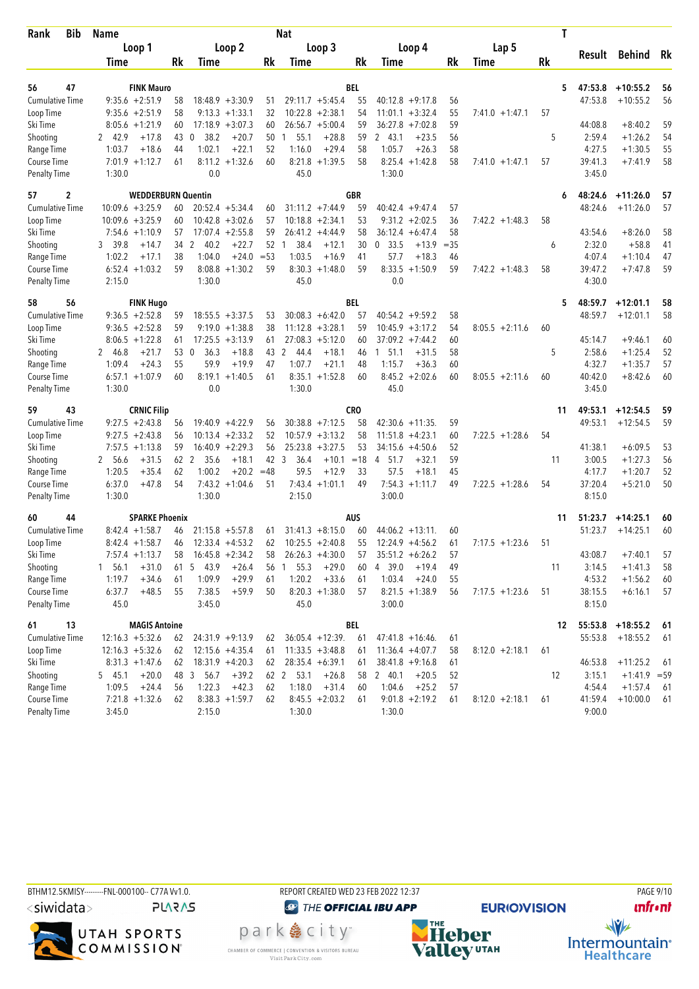| Rank                               | <b>Bib</b> | <b>Name</b>                           |           |                                 |          | <b>Nat</b>           |                   |            |                             |        |                   | Τ  |                   |                |     |
|------------------------------------|------------|---------------------------------------|-----------|---------------------------------|----------|----------------------|-------------------|------------|-----------------------------|--------|-------------------|----|-------------------|----------------|-----|
|                                    |            | Loop 1                                |           | Loop 2                          |          |                      | Loop 3            |            | Loop 4                      |        | Lap 5             |    |                   |                |     |
|                                    |            | <b>Time</b>                           | Rk        | Time                            | Rk       | Time                 |                   | Rk         | Time                        | Rk     | Time              | Rk | Result            | Behind         | Rk  |
| 56                                 | 47         | <b>FINK Mauro</b>                     |           |                                 |          |                      |                   | BEL        |                             |        |                   | 5  | 47:53.8           | $+10:55.2$     | 56  |
| <b>Cumulative Time</b>             |            | $9:35.6 + 2:51.9$                     | 58        | $18:48.9 + 3:30.9$              | 51       | $29:11.7 + 5:45.4$   |                   | 55         | $40:12.8 + 9:17.8$          | 56     |                   |    | 47:53.8           | $+10:55.2$     | 56  |
| Loop Time                          |            | $9:35.6 + 2:51.9$                     | 58        | $9:13.3 +1:33.1$                | 32       | $10:22.8 + 2:38.1$   |                   | 54         | $11:01.1 + 3:32.4$          | 55     | $7:41.0 + 1:47.1$ | 57 |                   |                |     |
| Ski Time                           |            | $8:05.6 +1:21.9$                      | 60        | $17:18.9 + 3:07.3$              | 60       | $26:56.7 + 5:00.4$   |                   | 59         | $36:27.8$ +7:02.8           | 59     |                   |    | 44:08.8           | $+8:40.2$      | 59  |
| Shooting                           |            | $+17.8$<br>2 42.9                     | 43<br>- 0 | 38.2<br>$+20.7$                 | 50       | 55.1<br>$\mathbf{1}$ | $+28.8$           | 59         | 2 43.1<br>$+23.5$           | 56     |                   | 5  | 2:59.4            | $+1:26.2$      | 54  |
| Range Time                         |            | $+18.6$<br>1:03.7                     | 44        | 1:02.1<br>$+22.1$               | 52       | 1:16.0               | $+29.4$           | 58         | 1:05.7<br>$+26.3$           | 58     |                   |    | 4:27.5            | $+1:30.5$      | 55  |
| Course Time                        |            | $7:01.9 +1:12.7$                      | 61        | $8:11.2 +1:32.6$                | 60       | 8:21.8               | $+1:39.5$         | 58         | $8:25.4 +1:42.8$            | 58     | $7:41.0 +1:47.1$  | 57 | 39:41.3           | $+7:41.9$      | 58  |
| <b>Penalty Time</b>                |            | 1:30.0                                |           | 0.0                             |          | 45.0                 |                   |            | 1:30.0                      |        |                   |    | 3:45.0            |                |     |
| 57                                 | 2          | <b>WEDDERBURN Quentin</b>             |           |                                 |          |                      |                   | <b>GBR</b> |                             |        |                   | 6  | 48:24.6           | $+11:26.0$     | 57  |
| <b>Cumulative Time</b>             |            | $10:09.6 + 3:25.9$                    | 60        | $20:52.4$ +5:34.4               | 60       | $31:11.2 +7:44.9$    |                   | 59         | $40:42.4 + 9:47.4$          | 57     |                   |    | 48:24.6           | $+11:26.0$     | 57  |
| Loop Time                          |            | $10:09.6 + 3:25.9$                    | 60        | $10:42.8 + 3:02.6$              | 57       | $10:18.8 + 2:34.1$   |                   | 53         | $9:31.2 +2:02.5$            | 36     | $7:42.2 +1:48.3$  | 58 |                   |                |     |
| Ski Time                           |            | $7:54.6 +1:10.9$                      | 57        | $17:07.4 +2:55.8$               | 59       | $26:41.2 +4:44.9$    |                   | 58         | $36:12.4 + 6:47.4$          | 58     |                   |    | 43:54.6           | $+8:26.0$      | 58  |
| Shooting                           |            | 3 39.8<br>$+14.7$                     | 34 2      | 40.2<br>$+22.7$                 | 52       | 38.4<br>-1           | $+12.1$           | 30         | 0, 33.5<br>$+13.9$          | $= 35$ |                   | 6  | 2:32.0            | $+58.8$        | 41  |
| Range Time                         |            | 1:02.2<br>$+17.1$                     | 38        | 1:04.0<br>$+24.0$               | $= 53$   | 1:03.5               | $+16.9$           | 41         | 57.7<br>$+18.3$             | 46     |                   |    | 4:07.4            | $+1:10.4$      | 47  |
| Course Time                        |            | $6:52.4 +1:03.2$                      | 59        | $8:08.8 + 1:30.2$               | 59       | 8:30.3               | $+1:48.0$         | 59         | 8:33.5<br>$+1:50.9$         | 59     | $7:42.2 +1:48.3$  | 58 | 39:47.2           | $+7:47.8$      | 59  |
| <b>Penalty Time</b>                |            | 2:15.0                                |           | 1:30.0                          |          | 45.0                 |                   |            | 0.0                         |        |                   |    | 4:30.0            |                |     |
| 58                                 | 56         | <b>FINK Hugo</b>                      |           |                                 |          |                      |                   | BEL        |                             |        |                   | 5  | 48:59.7           | $+12:01.1$     | 58  |
| <b>Cumulative Time</b>             |            | $9:36.5 +2:52.8$                      | 59        | $18:55.5 + 3:37.5$              | 53       | $30:08.3 + 6:42.0$   |                   | 57         | $40:54.2 +9:59.2$           | 58     |                   |    | 48:59.7           | $+12:01.1$     | 58  |
| Loop Time                          |            | $9:36.5 +2:52.8$                      | 59        | $9:19.0 +1:38.8$                | 38       | $11:12.8 + 3:28.1$   |                   | 59         | $10:45.9 + 3:17.2$          | 54     | $8:05.5 +2:11.6$  | 60 |                   |                |     |
| Ski Time                           |            | $8:06.5 +1:22.8$                      | 61        | $17:25.5 + 3:13.9$              | 61       | $27:08.3 + 5:12.0$   |                   | 60         | $37:09.2 +7:44.2$           | 60     |                   |    | 45:14.7           | $+9:46.1$      | 60  |
| Shooting                           |            | 2 46.8<br>$+21.7$                     | 53        | $\mathbf{0}$<br>36.3<br>$+18.8$ | 43 2     | 44.4                 | $+18.1$           | 46         | 51.1<br>$+31.5$<br>1        | 58     |                   | 5  | 2:58.6            | $+1:25.4$      | 52  |
| Range Time                         |            | 1:09.4<br>$+24.3$                     | 55        | 59.9<br>$+19.9$                 | 47       | 1:07.7               | $+21.1$           | 48         | 1:15.7<br>$+36.3$           | 60     |                   |    | 4:32.7            | $+1:35.7$      | 57  |
| Course Time                        |            | $6:57.1 + 1:07.9$                     | 60        | 8:19.1<br>$+1:40.5$             | 61       |                      | $8:35.1 + 1:52.8$ | 60         | $8:45.2 + 2:02.6$           | 60     | $8:05.5 +2:11.6$  | 60 | 40:42.0           | $+8:42.6$      | 60  |
| <b>Penalty Time</b>                |            | 1:30.0                                |           | 0.0                             |          | 1:30.0               |                   |            | 45.0                        |        |                   |    | 3:45.0            |                |     |
| 59                                 | 43         | <b>CRNIC Filip</b>                    |           |                                 |          |                      |                   | CRO        |                             |        |                   | 11 | 49:53.1           | $+12:54.5$     | 59  |
| Cumulative Time                    |            | $9:27.5 +2:43.8$                      | 56        | $19:40.9 + 4:22.9$              | 56       | $30:38.8 + 7:12.5$   |                   | 58         | $42:30.6 +11:35$ .          | 59     |                   |    | 49:53.1           | $+12:54.5$     | 59  |
| Loop Time                          |            | $9:27.5 + 2:43.8$                     | 56        | $10:13.4 +2:33.2$               | 52       | $10:57.9 + 3:13.2$   |                   | 58         | 11:51.8<br>$+4:23.1$        | 60     | $7:22.5 +1:28.6$  | 54 |                   |                |     |
| Ski Time                           |            | $7:57.5 +1:13.8$                      | 59        | $16:40.9 + 2:29.3$              | 56       | $25:23.8 + 3:27.5$   |                   | 53         | $+4:50.6$<br>34:15.6        | 52     |                   |    | 41:38.1           | $+6:09.5$      | 53  |
| Shooting                           |            | $+31.5$<br>2 56.6                     | 62<br>-2  | 35.6<br>$+18.1$                 | 42 3     | 36.4                 | $+10.1$           | $=18$      | $+32.1$<br>4<br>51.7        | 59     |                   | 11 | 3:00.5            | $+1:27.3$      | 56  |
| Range Time                         |            | 1:20.5<br>$+35.4$                     | 62        | 1:00.2<br>$+20.2$               | $=48$    | 59.5                 | $+12.9$           | 33         | 57.5<br>$+18.1$             | 45     |                   |    | 4:17.7            | $+1:20.7$      | 52  |
| Course Time                        |            | 6:37.0<br>$+47.8$                     | 54        | $7:43.2 +1:04.6$                | 51       | 7:43.4               | $+1:01.1$         | 49         | $7:54.3 +1:11.7$            | 49     | $7:22.5 +1:28.6$  | 54 | 37:20.4           | $+5:21.0$      | 50  |
| Penalty Time                       |            | 1:30.0                                |           | 1:30.0                          |          | 2:15.0               |                   |            | 3:00.0                      |        |                   |    | 8:15.0            |                |     |
| 60                                 | 44         | <b>SPARKE Phoenix</b>                 |           |                                 |          |                      |                   | <b>AUS</b> |                             |        |                   | 11 | 51:23.7           | $+14:25.1$     | 60  |
| <b>Cumulative Time</b>             |            | $8:42.4 +1:58.7$                      | 46        | $21:15.8 + 5:57.8$              | 61       | $31:41.3 + 8:15.0$   |                   | 60         | $44:06.2 + 13:11$           | 60     |                   |    | 51:23.7           | $+14:25.1$     | 60  |
| Loop Time                          |            | $8:42.4 +1:58.7$                      | 46        | $12:33.4 +4:53.2$               | 62       | $10:25.5 + 2:40.8$   |                   | 55         | $12:24.9 +4:56.2$           | 61     | $7:17.5 +1:23.6$  | 51 |                   |                |     |
| Ski Time                           |            | $7:57.4 +1:13.7$                      | 58        | $16:45.8 + 2:34.2$              | 58       | $26:26.3 +4:30.0$    |                   | 57         | $35:51.2 + 6:26.2$          | 57     |                   |    | 43:08.7           | $+7:40.1$      | 57  |
| Shooting                           |            | $+31.0$<br>1 56.1                     | 61        | 5 43.9<br>$+26.4$               | 56       | 55.3<br>$\mathbf{1}$ | $+29.0$           | 60         | 4 39.0<br>$+19.4$           | 49     |                   | 11 | 3:14.5            | $+1:41.3$      | 58  |
| Range Time                         |            | $+34.6$<br>1:19.7                     | 61        | 1:09.9<br>$+29.9$               | 61       | 1:20.2               | $+33.6$           | 61         | 1:03.4<br>$+24.0$           | 55     |                   |    | 4:53.2            | $+1:56.2$      | 60  |
| Course Time<br><b>Penalty Time</b> |            | 6:37.7<br>$+48.5$<br>45.0             | 55        | 7:38.5<br>$+59.9$<br>3:45.0     | 50       | 45.0                 | $8:20.3 +1:38.0$  | 57         | $8:21.5 +1:38.9$<br>3:00.0  | 56     | $7:17.5 +1:23.6$  | 51 | 38:15.5<br>8:15.0 | $+6:16.1$      | 57  |
|                                    |            |                                       |           |                                 |          |                      |                   |            |                             |        |                   |    |                   |                |     |
| 61                                 | 13         | <b>MAGIS Antoine</b>                  |           |                                 |          |                      |                   | BEL        |                             |        |                   | 12 | 55:53.8           | $+18:55.2$     | -61 |
| <b>Cumulative Time</b>             |            | $12:16.3 + 5:32.6$                    | 62        | $24:31.9 +9:13.9$               | 62       | $36:05.4 +12:39$ .   |                   | 61         | $47:41.8 + 16:46$ .         | 61     |                   |    | 55:53.8           | $+18:55.2$     | 61  |
| Loop Time                          |            | $12:16.3 + 5:32.6$                    | 62        | $12:15.6 +4:35.4$               | 61       | $11:33.5 + 3:48.8$   |                   | 61         | $11:36.4 +4:07.7$           | 58     | $8:12.0 + 2:18.1$ | 61 |                   |                |     |
| Ski Time                           |            | $8:31.3 +1:47.6$                      | 62        | $18:31.9 +4:20.3$               | 62       | $28:35.4 + 6:39.1$   |                   | 61         | $38:41.8 +9:16.8$           | 61     |                   |    | 46:53.8           | $+11:25.2$     | -61 |
| Shooting                           |            | 545.1<br>$+20.0$                      | 48        | 3 56.7<br>$+39.2$               |          | 62 2<br>53.1         | $+26.8$           | 58         | 2 40.1<br>$+20.5$           | 52     |                   | 12 | 3:15.1            | $+1:41.9$ = 59 |     |
| Range Time<br>Course Time          |            | 1:09.5<br>$+24.4$<br>$7:21.8 +1:32.6$ | 56        | 1:22.3<br>$+42.3$               | 62<br>62 | 1:18.0               | $+31.4$           | 60         | 1:04.6<br>$+25.2$           | 57     |                   |    | 4:54.4            | $+1:57.4$      | 61  |
| <b>Penalty Time</b>                |            | 3:45.0                                | 62        | $8:38.3 +1:59.7$<br>2:15.0      |          | 1:30.0               | $8:45.5 + 2:03.2$ | 61         | $9:01.8 + 2:19.2$<br>1:30.0 | 61     | $8:12.0 + 2:18.1$ | 61 | 41:59.4<br>9:00.0 | $+10:00.0$     | 61  |
|                                    |            |                                       |           |                                 |          |                      |                   |            |                             |        |                   |    |                   |                |     |





**O THE OFFICIAL IBU APP** park e city<sup>®</sup> CHAMBER OF COMMERCE | CONVENTION & VISITORS BUREAU<br>Visit Park City.com



**EURIO)VISION**